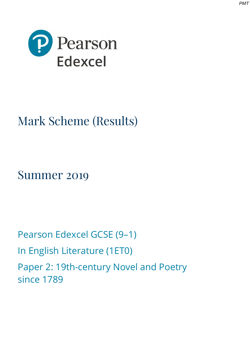



# Mark Scheme (Results)

Summer 2019

Pearson Edexcel GCSE (9–1) In English Literature (1ET0) Paper 2: 19th-century Novel and Poetry since 1789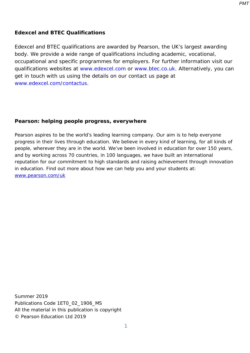#### **Edexcel and BTEC Qualifications**

Edexcel and BTEC qualifications are awarded by Pearson, the UK's largest awarding body. We provide a wide range of qualifications including academic, vocational, occupational and specific programmes for employers. For further information visit our qualifications websites at [www.edexcel.com](http://www.edexcel.com/) or [www.btec.co.uk.](http://www.btec.co.uk/) Alternatively, you can get in touch with us using the details on our contact us page at [www.edexcel.com/contactus.](http://www.edexcel.com/contactus)

#### **Pearson: helping people progress, everywhere**

Pearson aspires to be the world's leading learning company. Our aim is to help everyone progress in their lives through education. We believe in every kind of learning, for all kinds of people, wherever they are in the world. We've been involved in education for over 150 years, and by working across 70 countries, in 100 languages, we have built an international reputation for our commitment to high standards and raising achievement through innovation in education. Find out more about how we can help you and your students at: [www.pearson.com/uk](http://www.pearson.com/uk)

Summer 2019 Publications Code 1ET0\_02\_1906\_MS All the material in this publication is copyright © Pearson Education Ltd 2019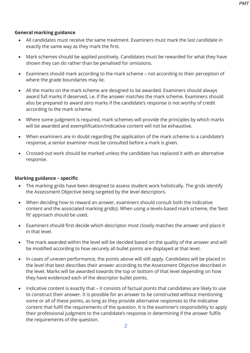#### **General marking guidance**

- All candidates must receive the same treatment. Examiners must mark the last candidate in exactly the same way as they mark the first.
- Mark schemes should be applied positively. Candidates must be rewarded for what they have shown they can do rather than be penalised for omissions.
- Examiners should mark according to the mark scheme not according to their perception of where the grade boundaries may lie.
- All the marks on the mark scheme are designed to be awarded. Examiners should always award full marks if deserved, i.e. if the answer matches the mark scheme. Examiners should also be prepared to award zero marks if the candidate's response is not worthy of credit according to the mark scheme.
- Where some judgment is required, mark schemes will provide the principles by which marks will be awarded and exemplification/indicative content will not be exhaustive.
- When examiners are in doubt regarding the application of the mark scheme to a candidate's response, a senior examiner must be consulted before a mark is given.
- Crossed-out work should be marked unless the candidate has replaced it with an alternative response.

#### **Marking guidance – specific**

- The marking grids have been designed to assess student work holistically. The grids identify the Assessment Objective being targeted by the level descriptors.
- When deciding how to reward an answer, examiners should consult both the indicative content and the associated marking grid(s). When using a levels-based mark scheme, the 'best fit' approach should be used.
- Examiners should first decide which descriptor most closely matches the answer and place it in that level.
- The mark awarded within the level will be decided based on the quality of the answer and will be modified according to how securely all bullet points are displayed at that level.
- In cases of uneven performance, the points above will still apply. Candidates will be placed in the level that best describes their answer according to the Assessment Objective described in the level. Marks will be awarded towards the top or bottom of that level depending on how they have evidenced each of the descriptor bullet points.
- Indicative content is exactly that it consists of factual points that candidates are likely to use to construct their answer. It is possible for an answer to be constructed without mentioning some or all of these points, as long as they provide alternative responses to the indicative content that fulfil the requirements of the question. It is the examiner's responsibility to apply their professional judgment to the candidate's response in determining if the answer fulfils the requirements of the question.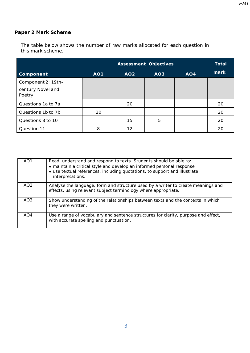# **Paper 2 Mark Scheme**

The table below shows the number of raw marks allocated for each question in this mark scheme.

|                             |            |                 | <b>Assessment Objectives</b> |                 | <b>Total</b> |
|-----------------------------|------------|-----------------|------------------------------|-----------------|--------------|
| <b>Component</b>            | <b>AO1</b> | AO <sub>2</sub> | AO <sub>3</sub>              | AO <sub>4</sub> | mark         |
| Component 2: 19th-          |            |                 |                              |                 |              |
| century Novel and<br>Poetry |            |                 |                              |                 |              |
| Questions 1a to 7a          |            | 20              |                              |                 | 20           |
| Questions 1b to 7b          | 20         |                 |                              |                 | 20           |
| Questions 8 to 10           |            | 15              | 5                            |                 | 20           |
| Question 11                 | 8          | 12              |                              |                 | 20           |

| AO <sub>1</sub> | Read, understand and respond to texts. Students should be able to:<br>• maintain a critical style and develop an informed personal response<br>• use textual references, including quotations, to support and illustrate<br>interpretations. |
|-----------------|----------------------------------------------------------------------------------------------------------------------------------------------------------------------------------------------------------------------------------------------|
| AO <sub>2</sub> | Analyse the language, form and structure used by a writer to create meanings and<br>effects, using relevant subject terminology where appropriate.                                                                                           |
| AO <sub>3</sub> | Show understanding of the relationships between texts and the contexts in which<br>they were written.                                                                                                                                        |
| AO4             | Use a range of vocabulary and sentence structures for clarity, purpose and effect,<br>with accurate spelling and punctuation.                                                                                                                |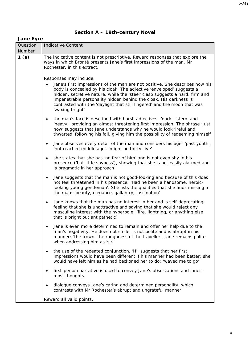# **Section A – 19th-century Novel**

#### *Jane Eyre*

| Question      | <b>Indicative Content</b>                                                                                                                                                                                                                                                                                                                                                                              |  |  |  |
|---------------|--------------------------------------------------------------------------------------------------------------------------------------------------------------------------------------------------------------------------------------------------------------------------------------------------------------------------------------------------------------------------------------------------------|--|--|--|
| <b>Number</b> |                                                                                                                                                                                                                                                                                                                                                                                                        |  |  |  |
| 1(a)          | The indicative content is not prescriptive. Reward responses that explore the<br>ways in which Brontë presents Jane's first impressions of the man, Mr<br>Rochester, in this extract.                                                                                                                                                                                                                  |  |  |  |
|               | Responses may include:                                                                                                                                                                                                                                                                                                                                                                                 |  |  |  |
|               | Jane's first impressions of the man are not positive. She describes how his<br>body is concealed by his cloak. The adjective 'enveloped' suggests a<br>hidden, secretive nature, while the 'steel' clasp suggests a hard, firm and<br>impenetrable personality hidden behind the cloak. His darkness is<br>contrasted with the 'daylight that still lingered' and the moon that was<br>'waxing bright' |  |  |  |
|               | the man's face is described with harsh adjectives: 'dark', 'stern' and<br>'heavy', providing an almost threatening first impression. The phrase 'just<br>now' suggests that Jane understands why he would look 'ireful and<br>thwarted' following his fall, giving him the possibility of redeeming himself                                                                                            |  |  |  |
|               | Jane observes every detail of the man and considers his age: 'past youth',<br>٠<br>'not reached middle age', 'might be thirty-five'                                                                                                                                                                                                                                                                    |  |  |  |
|               | she states that she has 'no fear of him' and is not even shy in his<br>presence ('but little shyness'), showing that she is not easily alarmed and<br>is pragmatic in her approach                                                                                                                                                                                                                     |  |  |  |
|               | Jane suggests that the man is not good-looking and because of this does<br>not feel threatened in his presence: 'Had he been a handsome, heroic-<br>looking young gentleman'. She lists the qualities that she finds missing in<br>the man: 'beauty, elegance, gallantry, fascination'                                                                                                                 |  |  |  |
|               | Jane knows that the man has no interest in her and is self-deprecating,<br>$\bullet$<br>feeling that she is unattractive and saying that she would reject any<br>masculine interest with the hyperbole: 'fire, lightning, or anything else<br>that is bright but antipathetic'                                                                                                                         |  |  |  |
|               | Jane is even more determined to remain and offer her help due to the<br>man's negativity. He does not smile, is not polite and is abrupt in his<br>manner: 'the frown, the roughness of the traveller'. Jane remains polite<br>when addressing him as 'sir'                                                                                                                                            |  |  |  |
|               | the use of the repeated conjunction, 'If', suggests that her first<br>impressions would have been different if his manner had been better; she<br>would have left him as he had beckoned her to do: 'waved me to go'                                                                                                                                                                                   |  |  |  |
|               | first-person narrative is used to convey Jane's observations and inner-<br>most thoughts                                                                                                                                                                                                                                                                                                               |  |  |  |
|               | dialogue conveys Jane's caring and determined personality, which<br>contrasts with Mr Rochester's abrupt and ungrateful manner.                                                                                                                                                                                                                                                                        |  |  |  |
|               | Reward all valid points.                                                                                                                                                                                                                                                                                                                                                                               |  |  |  |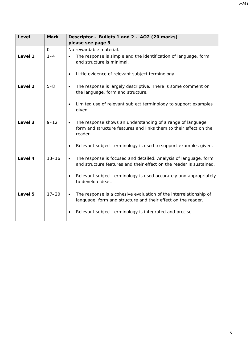| Level   | <b>Mark</b> | Descriptor - Bullets 1 and 2 - AO2 (20 marks)<br>please see page 3                                                                                       |  |
|---------|-------------|----------------------------------------------------------------------------------------------------------------------------------------------------------|--|
|         | 0           | No rewardable material.                                                                                                                                  |  |
| Level 1 | $1 - 4$     | The response is simple and the identification of language, form<br>$\bullet$<br>and structure is minimal.                                                |  |
|         |             | Little evidence of relevant subject terminology.<br>$\bullet$                                                                                            |  |
| Level 2 | $5 - 8$     | The response is largely descriptive. There is some comment on<br>$\bullet$<br>the language, form and structure.                                          |  |
|         |             | Limited use of relevant subject terminology to support examples<br>$\bullet$<br>given.                                                                   |  |
| Level 3 | $9 - 12$    | The response shows an understanding of a range of language,<br>$\bullet$<br>form and structure features and links them to their effect on the<br>reader. |  |
|         |             | Relevant subject terminology is used to support examples given.<br>$\bullet$                                                                             |  |
| Level 4 | $13 - 16$   | The response is focused and detailed. Analysis of language, form<br>$\bullet$<br>and structure features and their effect on the reader is sustained.     |  |
|         |             | Relevant subject terminology is used accurately and appropriately<br>$\bullet$<br>to develop ideas.                                                      |  |
| Level 5 | $17 - 20$   | The response is a cohesive evaluation of the interrelationship of<br>$\bullet$<br>language, form and structure and their effect on the reader.           |  |
|         |             | Relevant subject terminology is integrated and precise.<br>$\bullet$                                                                                     |  |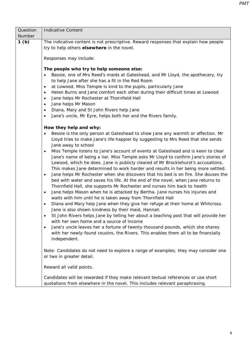| Question         | <b>Indicative Content</b>                                                                       |  |  |  |
|------------------|-------------------------------------------------------------------------------------------------|--|--|--|
| Number           |                                                                                                 |  |  |  |
| 1 <sub>(b)</sub> | The indicative content is not prescriptive. Reward responses that explain how people            |  |  |  |
|                  | try to help others elsewhere in the novel.                                                      |  |  |  |
|                  |                                                                                                 |  |  |  |
|                  | Responses may include:                                                                          |  |  |  |
|                  | The people who try to help someone else:                                                        |  |  |  |
|                  | Bessie, one of Mrs Reed's maids at Gateshead, and Mr Lloyd, the apothecary, try                 |  |  |  |
|                  | to help Jane after she has a fit in the Red Room                                                |  |  |  |
|                  | at Lowood, Miss Temple is kind to the pupils, particularly Jane<br>$\bullet$                    |  |  |  |
|                  | Helen Burns and Jane comfort each other during their difficult times at Lowood<br>$\bullet$     |  |  |  |
|                  | Jane helps Mr Rochester at Thornfield Hall<br>$\bullet$                                         |  |  |  |
|                  | Jane helps Mr Mason<br>$\bullet$                                                                |  |  |  |
|                  | Diana, Mary and St John Rivers help Jane<br>$\bullet$                                           |  |  |  |
|                  | Jane's uncle, Mr Eyre, helps both her and the Rivers family.<br>$\bullet$                       |  |  |  |
|                  | How they help and why:                                                                          |  |  |  |
|                  | Bessie is the only person at Gateshead to show Jane any warmth or affection. Mr<br>٠            |  |  |  |
|                  | Lloyd tries to make Jane's life happier by suggesting to Mrs Reed that she sends                |  |  |  |
|                  | Jane away to school                                                                             |  |  |  |
|                  | Miss Temple listens to Jane's account of events at Gateshead and is keen to clear<br>$\bullet$  |  |  |  |
|                  | Jane's name of being a liar. Miss Temple asks Mr Lloyd to confirm Jane's stories of             |  |  |  |
|                  | Lowood, which he does. Jane is publicly cleared of Mr Brocklehurst's accusations.               |  |  |  |
|                  | This makes Jane determined to work harder and results in her being more settled.                |  |  |  |
|                  | Jane helps Mr Rochester when she discovers that his bed is on fire. She douses the<br>$\bullet$ |  |  |  |
|                  | bed with water and saves his life. At the end of the novel, when Jane returns to                |  |  |  |
|                  | Thornfield Hall, she supports Mr Rochester and nurses him back to health                        |  |  |  |
|                  | Jane helps Mason when he is attacked by Bertha. Jane nurses his injuries and<br>$\bullet$       |  |  |  |
|                  | waits with him until he is taken away from Thornfield Hall                                      |  |  |  |
|                  | Diana and Mary help Jane when they give her refuge at their home at Whitcross.<br>$\bullet$     |  |  |  |
|                  | Jane is also shown kindness by their maid, Hannah                                               |  |  |  |
|                  | St John Rivers helps Jane by telling her about a teaching post that will provide her            |  |  |  |
|                  | with her own home and a source of income                                                        |  |  |  |
|                  | Jane's uncle leaves her a fortune of twenty thousand pounds, which she shares<br>$\bullet$      |  |  |  |
|                  | with her newly-found cousins, the Rivers. This enables them all to be financially               |  |  |  |
|                  | independent.                                                                                    |  |  |  |
|                  | Note: Candidates do not need to explore a range of examples; they may consider one              |  |  |  |
|                  | or two in greater detail.                                                                       |  |  |  |
|                  |                                                                                                 |  |  |  |
|                  | Reward all valid points.                                                                        |  |  |  |
|                  | Candidates will be rewarded if they make relevant textual references or use short               |  |  |  |
|                  | quotations from elsewhere in the novel. This includes relevant paraphrasing.                    |  |  |  |
|                  |                                                                                                 |  |  |  |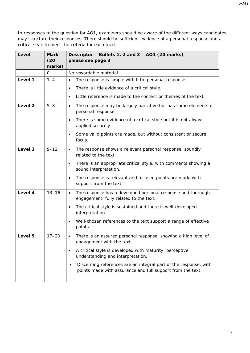| Level   | <b>Mark</b><br>(20) | Descriptor - Bullets 1, 2 and 3 - AO1 (20 marks)<br>please see page 3                                                          |  |
|---------|---------------------|--------------------------------------------------------------------------------------------------------------------------------|--|
|         | marks)              |                                                                                                                                |  |
|         | 0                   | No rewardable material.                                                                                                        |  |
| Level 1 | $1 - 4$             | The response is simple with little personal response.<br>$\bullet$                                                             |  |
|         |                     | There is little evidence of a critical style.<br>$\bullet$                                                                     |  |
|         |                     | Little reference is made to the content or themes of the text.                                                                 |  |
| Level 2 | $5 - 8$             | The response may be largely narrative but has some elements of<br>$\bullet$<br>personal response.                              |  |
|         |                     | There is some evidence of a critical style but it is not always<br>$\bullet$<br>applied securely.                              |  |
|         |                     | Some valid points are made, but without consistent or secure<br>$\bullet$<br>focus.                                            |  |
| Level 3 | $9 - 12$            | The response shows a relevant personal response, soundly<br>$\bullet$<br>related to the text.                                  |  |
|         |                     | There is an appropriate critical style, with comments showing a<br>$\bullet$<br>sound interpretation.                          |  |
|         |                     | The response is relevant and focused points are made with<br>$\bullet$<br>support from the text.                               |  |
| Level 4 | $13 - 16$           | The response has a developed personal response and thorough<br>$\bullet$<br>engagement, fully related to the text.             |  |
|         |                     | The critical style is sustained and there is well-developed<br>interpretation.                                                 |  |
|         |                     | Well-chosen references to the text support a range of effective<br>$\bullet$<br>points.                                        |  |
| Level 5 | $17 - 20$           | There is an assured personal response, showing a high level of<br>$\bullet$<br>engagement with the text.                       |  |
|         |                     | A critical style is developed with maturity, perceptive<br>$\bullet$<br>understanding and interpretation.                      |  |
|         |                     | Discerning references are an integral part of the response, with<br>points made with assurance and full support from the text. |  |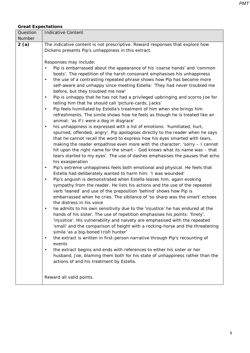## *Great Expectations*

| Question | <b>Indicative Content</b>                                                                                                                             |  |  |  |
|----------|-------------------------------------------------------------------------------------------------------------------------------------------------------|--|--|--|
| Number   |                                                                                                                                                       |  |  |  |
| 2(a)     | The indicative content is not prescriptive. Reward responses that explore how<br>Dickens presents Pip's unhappiness in this extract.                  |  |  |  |
|          |                                                                                                                                                       |  |  |  |
|          | Responses may include:                                                                                                                                |  |  |  |
|          | Pip is embarrassed about the appearance of his 'coarse hands' and 'common<br>boots'. The repetition of the harsh consonant emphasises his unhappiness |  |  |  |
|          | the use of a contrasting repeated phrase shows how Pip has become more<br>$\bullet$                                                                   |  |  |  |
|          |                                                                                                                                                       |  |  |  |
|          | self-aware and unhappy since meeting Estella: 'They had never troubled me<br>before, but they troubled me now'                                        |  |  |  |
|          | Pip is unhappy that he has not had a privileged upbringing and scorns Joe for<br>$\bullet$                                                            |  |  |  |
|          | telling him that he should call 'picture-cards, Jacks'                                                                                                |  |  |  |
|          | Pip feels humiliated by Estella's treatment of him when she brings him<br>$\bullet$                                                                   |  |  |  |
|          | refreshments. The simile shows how he feels as though he is treated like an                                                                           |  |  |  |
|          | animal: 'as if I were a dog in disgrace'                                                                                                              |  |  |  |
|          | his unhappiness is expressed with a list of emotions: 'humiliated, hurt,<br>$\bullet$                                                                 |  |  |  |
|          | spurned, offended, angry'. Pip apologises directly to the reader when he says                                                                         |  |  |  |
|          | that he cannot recall the word to express how his eyes smarted with tears,                                                                            |  |  |  |
|          | making the reader empathise even more with the character: 'sorry - I cannot                                                                           |  |  |  |
|          | hit upon the right name for the smart - God knows what its name was - that                                                                            |  |  |  |
|          | tears started to my eyes'. The use of dashes emphasises the pauses that echo<br>his exasperation                                                      |  |  |  |
|          | Pip's extreme unhappiness feels both emotional and physical. He feels that<br>$\bullet$                                                               |  |  |  |
|          | Estella had deliberately wanted to harm him: 'I was wounded'                                                                                          |  |  |  |
|          | Pip's anguish is demonstrated when Estella leaves him, again evoking                                                                                  |  |  |  |
|          | sympathy from the reader. He lists his actions and the use of the repeated                                                                            |  |  |  |
|          | verb 'leaned' and use of the preposition 'behind' shows how Pip is                                                                                    |  |  |  |
|          | embarrassed when he cries. The sibilance of 'so sharp was the smart' echoes<br>the distress in his voice                                              |  |  |  |
|          | he admits to his own sensitivity due to the 'injustice' he has endured at the<br>$\bullet$                                                            |  |  |  |
|          | hands of his sister. The use of repetition emphasises his points: 'finely',                                                                           |  |  |  |
|          | 'injustice'. His vulnerability and naivety are emphasised with the repeated                                                                           |  |  |  |
|          | 'small' and the comparison of height with a rocking-horse and the threatening                                                                         |  |  |  |
|          | simile 'as a big-boned Irish hunter'                                                                                                                  |  |  |  |
|          | the extract is written in first-person narrative through Pip's recounting of<br>$\bullet$                                                             |  |  |  |
|          | events                                                                                                                                                |  |  |  |
|          | the extract begins and ends with references to either his sister or her<br>٠                                                                          |  |  |  |
|          | husband, Joe, blaming them both for his state of unhappiness rather than the                                                                          |  |  |  |
|          | actions of and his treatment by Estella.                                                                                                              |  |  |  |
|          |                                                                                                                                                       |  |  |  |
|          | Reward all valid points.                                                                                                                              |  |  |  |
|          |                                                                                                                                                       |  |  |  |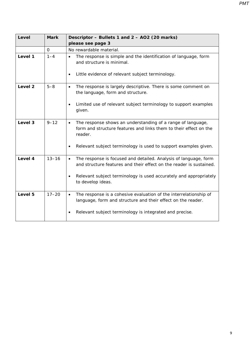| Level   | <b>Mark</b> | Descriptor - Bullets 1 and 2 - AO2 (20 marks)                                                                                                            |  |  |
|---------|-------------|----------------------------------------------------------------------------------------------------------------------------------------------------------|--|--|
|         |             | please see page 3                                                                                                                                        |  |  |
|         | 0           | No rewardable material.                                                                                                                                  |  |  |
| Level 1 | $1 - 4$     | The response is simple and the identification of language, form<br>$\bullet$<br>and structure is minimal.                                                |  |  |
|         |             | Little evidence of relevant subject terminology.<br>$\bullet$                                                                                            |  |  |
| Level 2 | $5 - 8$     | The response is largely descriptive. There is some comment on<br>$\bullet$<br>the language, form and structure.                                          |  |  |
|         |             | Limited use of relevant subject terminology to support examples<br>$\bullet$<br>given.                                                                   |  |  |
| Level 3 | $9 - 12$    | The response shows an understanding of a range of language,<br>$\bullet$<br>form and structure features and links them to their effect on the<br>reader. |  |  |
|         |             | Relevant subject terminology is used to support examples given.<br>$\bullet$                                                                             |  |  |
| Level 4 | $13 - 16$   | The response is focused and detailed. Analysis of language, form<br>$\bullet$<br>and structure features and their effect on the reader is sustained.     |  |  |
|         |             | Relevant subject terminology is used accurately and appropriately<br>٠<br>to develop ideas.                                                              |  |  |
| Level 5 | $17 - 20$   | The response is a cohesive evaluation of the interrelationship of<br>$\bullet$<br>language, form and structure and their effect on the reader.           |  |  |
|         |             | Relevant subject terminology is integrated and precise.<br>$\bullet$                                                                                     |  |  |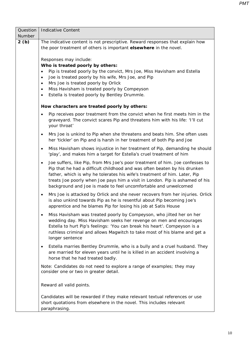| Question | <b>Indicative Content</b>                                                                                                                                                                                                                                                                                                                                                                                                                                                                                                                                                                                                                          |  |  |  |  |
|----------|----------------------------------------------------------------------------------------------------------------------------------------------------------------------------------------------------------------------------------------------------------------------------------------------------------------------------------------------------------------------------------------------------------------------------------------------------------------------------------------------------------------------------------------------------------------------------------------------------------------------------------------------------|--|--|--|--|
| Number   |                                                                                                                                                                                                                                                                                                                                                                                                                                                                                                                                                                                                                                                    |  |  |  |  |
| 2(b)     | The indicative content is not prescriptive. Reward responses that explain how<br>the poor treatment of others is important elsewhere in the novel.                                                                                                                                                                                                                                                                                                                                                                                                                                                                                                 |  |  |  |  |
|          | Responses may include:<br>Who is treated poorly by others:<br>Pip is treated poorly by the convict, Mrs Joe, Miss Havisham and Estella<br>$\bullet$<br>Joe is treated poorly by his wife, Mrs Joe, and Pip<br>$\bullet$<br>Mrs Joe is treated poorly by Orlick<br>$\bullet$<br>Miss Havisham is treated poorly by Compeyson<br>$\bullet$<br>Estella is treated poorly by Bentley Drummle.<br>$\bullet$<br>How characters are treated poorly by others:<br>Pip receives poor treatment from the convict when he first meets him in the<br>$\bullet$<br>graveyard. The convict scares Pip and threatens him with his life: 'I'll cut<br>your throat' |  |  |  |  |
|          | Mrs Joe is unkind to Pip when she threatens and beats him. She often uses<br>$\bullet$<br>her 'tickler' on Pip and is harsh in her treatment of both Pip and Joe                                                                                                                                                                                                                                                                                                                                                                                                                                                                                   |  |  |  |  |
|          | Miss Havisham shows injustice in her treatment of Pip, demanding he should<br>$\bullet$<br>'play', and makes him a target for Estella's cruel treatment of him                                                                                                                                                                                                                                                                                                                                                                                                                                                                                     |  |  |  |  |
|          | Joe suffers, like Pip, from Mrs Joe's poor treatment of him. Joe confesses to<br>$\bullet$<br>Pip that he had a difficult childhood and was often beaten by his drunken<br>father, which is why he tolerates his wife's treatment of him. Later, Pip<br>treats Joe poorly when Joe pays him a visit in London. Pip is ashamed of his<br>background and Joe is made to feel uncomfortable and unwelcomed                                                                                                                                                                                                                                            |  |  |  |  |
|          | Mrs Joe is attacked by Orlick and she never recovers from her injuries. Orlick<br>$\bullet$<br>is also unkind towards Pip as he is resentful about Pip becoming Joe's<br>apprentice and he blames Pip for losing his job at Satis House                                                                                                                                                                                                                                                                                                                                                                                                            |  |  |  |  |
|          | Miss Havisham was treated poorly by Compeyson, who jilted her on her<br>wedding day. Miss Havisham seeks her revenge on men and encourages<br>Estella to hurt Pip's feelings: 'You can break his heart'. Compeyson is a<br>ruthless criminal and allows Magwitch to take most of his blame and get a<br>longer sentence                                                                                                                                                                                                                                                                                                                            |  |  |  |  |
|          | Estella marries Bentley Drummle, who is a bully and a cruel husband. They<br>٠<br>are married for eleven years until he is killed in an accident involving a<br>horse that he had treated badly.                                                                                                                                                                                                                                                                                                                                                                                                                                                   |  |  |  |  |
|          | Note: Candidates do not need to explore a range of examples; they may<br>consider one or two in greater detail.                                                                                                                                                                                                                                                                                                                                                                                                                                                                                                                                    |  |  |  |  |
|          | Reward all valid points.                                                                                                                                                                                                                                                                                                                                                                                                                                                                                                                                                                                                                           |  |  |  |  |
|          | Candidates will be rewarded if they make relevant textual references or use<br>short quotations from elsewhere in the novel. This includes relevant<br>paraphrasing.                                                                                                                                                                                                                                                                                                                                                                                                                                                                               |  |  |  |  |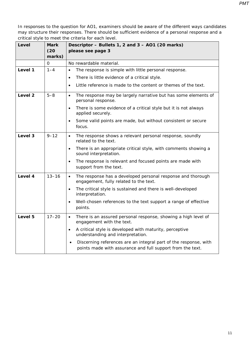| Level   | <b>Mark</b><br>(20)<br>marks) | Descriptor - Bullets 1, 2 and 3 - AO1 (20 marks)<br>please see page 3                                                          |  |
|---------|-------------------------------|--------------------------------------------------------------------------------------------------------------------------------|--|
|         | 0                             | No rewardable material.                                                                                                        |  |
| Level 1 | $1 - 4$                       | The response is simple with little personal response.<br>$\bullet$                                                             |  |
|         |                               | There is little evidence of a critical style.<br>$\bullet$                                                                     |  |
|         |                               | Little reference is made to the content or themes of the text.<br>$\bullet$                                                    |  |
| Level 2 | $5 - 8$                       | The response may be largely narrative but has some elements of<br>$\bullet$<br>personal response.                              |  |
|         |                               | There is some evidence of a critical style but it is not always<br>$\bullet$<br>applied securely.                              |  |
|         |                               | Some valid points are made, but without consistent or secure<br>$\bullet$<br>focus.                                            |  |
| Level 3 | $9 - 12$                      | The response shows a relevant personal response, soundly<br>$\bullet$<br>related to the text.                                  |  |
|         |                               | There is an appropriate critical style, with comments showing a<br>$\bullet$<br>sound interpretation.                          |  |
|         |                               | The response is relevant and focused points are made with<br>$\bullet$<br>support from the text.                               |  |
| Level 4 | $13 - 16$                     | The response has a developed personal response and thorough<br>$\bullet$<br>engagement, fully related to the text.             |  |
|         |                               | The critical style is sustained and there is well-developed<br>$\bullet$<br>interpretation.                                    |  |
|         |                               | Well-chosen references to the text support a range of effective<br>$\bullet$<br>points.                                        |  |
| Level 5 | $17 - 20$                     | There is an assured personal response, showing a high level of<br>$\bullet$<br>engagement with the text.                       |  |
|         |                               | A critical style is developed with maturity, perceptive<br>$\bullet$<br>understanding and interpretation.                      |  |
|         |                               | Discerning references are an integral part of the response, with<br>points made with assurance and full support from the text. |  |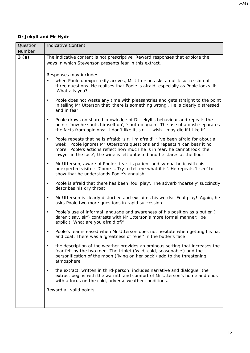## *Dr Jekyll and Mr Hyde*

| Question | <b>Indicative Content</b>                                                                                                                                                                                                                                                                                                               |  |  |  |  |
|----------|-----------------------------------------------------------------------------------------------------------------------------------------------------------------------------------------------------------------------------------------------------------------------------------------------------------------------------------------|--|--|--|--|
| Number   |                                                                                                                                                                                                                                                                                                                                         |  |  |  |  |
| 3(a)     | The indicative content is not prescriptive. Reward responses that explore the                                                                                                                                                                                                                                                           |  |  |  |  |
|          | ways in which Stevenson presents fear in this extract.                                                                                                                                                                                                                                                                                  |  |  |  |  |
|          |                                                                                                                                                                                                                                                                                                                                         |  |  |  |  |
|          | Responses may include:<br>when Poole unexpectedly arrives, Mr Utterson asks a quick succession of                                                                                                                                                                                                                                       |  |  |  |  |
|          | three questions. He realises that Poole is afraid, especially as Poole looks ill:<br>'What ails you?'                                                                                                                                                                                                                                   |  |  |  |  |
|          | Poole does not waste any time with pleasantries and gets straight to the point<br>$\bullet$<br>in telling Mr Utterson that 'there is something wrong'. He is clearly distressed<br>and in fear                                                                                                                                          |  |  |  |  |
|          | Poole draws on shared knowledge of Dr Jekyll's behaviour and repeats the<br>$\bullet$<br>point: 'how he shuts himself up', 'shut up again'. The use of a dash separates<br>the facts from opinions: 'I don't like it, sir - I wish I may die if I like it'                                                                              |  |  |  |  |
|          | Poole repeats that he is afraid: 'sir, I'm afraid', 'I've been afraid for about a<br>$\bullet$<br>week'. Poole ignores Mr Utterson's questions and repeats 'I can bear it no<br>more'. Poole's actions reflect how much he is in fear, he cannot look 'the<br>lawyer in the face', the wine is left untasted and he stares at the floor |  |  |  |  |
|          | Mr Utterson, aware of Poole's fear, is patient and sympathetic with his<br>$\bullet$<br>unexpected visitor: 'Come  Try to tell me what it is'. He repeats 'I see' to<br>show that he understands Poole's anguish                                                                                                                        |  |  |  |  |
|          | Poole is afraid that there has been 'foul play'. The adverb 'hoarsely' succinctly<br>$\bullet$<br>describes his dry throat                                                                                                                                                                                                              |  |  |  |  |
|          | Mr Utterson is clearly disturbed and exclaims his words: 'Foul play!' Again, he<br>$\bullet$<br>asks Poole two more questions in rapid succession                                                                                                                                                                                       |  |  |  |  |
|          | Poole's use of informal language and awareness of his position as a butler ('I<br>$\bullet$<br>daren't say, sir') contrasts with Mr Utterson's more formal manner: 'be<br>explicit. What are you afraid of?'                                                                                                                            |  |  |  |  |
|          | Poole's fear is eased when Mr Utterson does not hesitate when getting his hat<br>$\bullet$<br>and coat. There was a 'greatness of relief' in the butler's face                                                                                                                                                                          |  |  |  |  |
|          | the description of the weather provides an ominous setting that increases the<br>$\bullet$<br>fear felt by the two men. The triplet ('wild, cold, seasonable') and the<br>personification of the moon ('lying on her back') add to the threatening<br>atmosphere                                                                        |  |  |  |  |
|          | the extract, written in third-person, includes narrative and dialogue; the<br>$\bullet$<br>extract begins with the warmth and comfort of Mr Utterson's home and ends<br>with a focus on the cold, adverse weather conditions.                                                                                                           |  |  |  |  |
|          | Reward all valid points.                                                                                                                                                                                                                                                                                                                |  |  |  |  |
|          |                                                                                                                                                                                                                                                                                                                                         |  |  |  |  |
|          |                                                                                                                                                                                                                                                                                                                                         |  |  |  |  |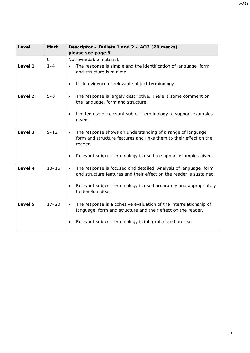| Level   | <b>Mark</b> | Descriptor - Bullets 1 and 2 - AO2 (20 marks)                                                                                                            |  |
|---------|-------------|----------------------------------------------------------------------------------------------------------------------------------------------------------|--|
|         |             | please see page 3                                                                                                                                        |  |
|         | 0           | No rewardable material.                                                                                                                                  |  |
| Level 1 | $1 - 4$     | The response is simple and the identification of language, form<br>$\bullet$<br>and structure is minimal.                                                |  |
|         |             | Little evidence of relevant subject terminology.<br>$\bullet$                                                                                            |  |
| Level 2 | $5 - 8$     | The response is largely descriptive. There is some comment on<br>$\bullet$<br>the language, form and structure.                                          |  |
|         |             | Limited use of relevant subject terminology to support examples<br>$\bullet$<br>given.                                                                   |  |
| Level 3 | $9 - 12$    | The response shows an understanding of a range of language,<br>$\bullet$<br>form and structure features and links them to their effect on the<br>reader. |  |
|         |             | Relevant subject terminology is used to support examples given.<br>$\bullet$                                                                             |  |
| Level 4 | $13 - 16$   | The response is focused and detailed. Analysis of language, form<br>$\bullet$<br>and structure features and their effect on the reader is sustained.     |  |
|         |             | Relevant subject terminology is used accurately and appropriately<br>$\bullet$<br>to develop ideas.                                                      |  |
| Level 5 | $17 - 20$   | The response is a cohesive evaluation of the interrelationship of<br>$\bullet$<br>language, form and structure and their effect on the reader.           |  |
|         |             | Relevant subject terminology is integrated and precise.                                                                                                  |  |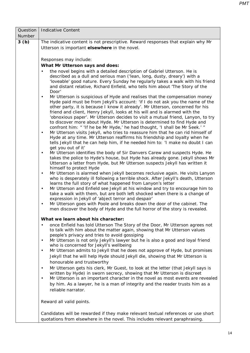| Question | <b>Indicative Content</b>                                                                                                                                                                                                                                                                                                               |  |  |  |  |  |
|----------|-----------------------------------------------------------------------------------------------------------------------------------------------------------------------------------------------------------------------------------------------------------------------------------------------------------------------------------------|--|--|--|--|--|
| Number   |                                                                                                                                                                                                                                                                                                                                         |  |  |  |  |  |
| 3(b)     | The indicative content is not prescriptive. Reward responses that explain why Mr                                                                                                                                                                                                                                                        |  |  |  |  |  |
|          | Utterson is important elsewhere in the novel.                                                                                                                                                                                                                                                                                           |  |  |  |  |  |
|          |                                                                                                                                                                                                                                                                                                                                         |  |  |  |  |  |
|          | Responses may include:                                                                                                                                                                                                                                                                                                                  |  |  |  |  |  |
|          | What Mr Utterson says and does:                                                                                                                                                                                                                                                                                                         |  |  |  |  |  |
|          | the novel begins with a detailed description of Gabriel Utterson. He is<br>$\bullet$<br>described as a dull and serious man ('lean, long, dusty, dreary') with a                                                                                                                                                                        |  |  |  |  |  |
|          | 'loveable' good nature. Every Sunday he regularly takes a walk with his friend<br>and distant relative, Richard Enfield, who tells him about 'The Story of the<br>Door'                                                                                                                                                                 |  |  |  |  |  |
|          | Mr Utterson is suspicious of Hyde and realises that the compensation money<br>$\bullet$<br>Hyde paid must be from Jekyll's account: 'if I do not ask you the name of the<br>other party, it is because I know it already'. Mr Utterson, concerned for his<br>friend and client, Henry Jekyll, looks at his will and is alarmed with the |  |  |  |  |  |
|          | 'obnoxious paper'. Mr Utterson decides to visit a mutual friend, Lanyon, to try<br>to discover more about Hyde. Mr Utterson is determined to find Hyde and<br>confront him: " 'If he be Mr Hyde,' he had thought, 'I shall be Mr Seek.' "                                                                                               |  |  |  |  |  |
|          | Mr Utterson visits Jekyll, who tries to reassure him that he can rid himself of<br>$\bullet$<br>Hyde at any time. Mr Utterson reaffirms his friendship and loyalty when he<br>tells Jekyll that he can help him, if he needed him to: 'I make no doubt I can                                                                            |  |  |  |  |  |
|          | get you out of it'                                                                                                                                                                                                                                                                                                                      |  |  |  |  |  |
|          | Mr Utterson identifies the body of Sir Danvers Carew and suspects Hyde. He<br>$\bullet$<br>takes the police to Hyde's house, but Hyde has already gone. Jekyll shows Mr<br>Utterson a letter from Hyde, but Mr Utterson suspects Jekyll has written it<br>himself to protect Hyde                                                       |  |  |  |  |  |
|          | Mr Utterson is alarmed when Jekyll becomes reclusive again. He visits Lanyon<br>$\bullet$<br>who is desperately ill following a terrible shock. After Jekyll's death, Utterson<br>learns the full story of what happened from Lanyon's letter                                                                                           |  |  |  |  |  |
|          | Mr Utterson and Enfield see Jekyll at his window and try to encourage him to<br>$\bullet$<br>take a walk with them, but are both left shocked when there is a change of<br>expression in Jekyll of 'abject terror and despair'                                                                                                          |  |  |  |  |  |
|          | Mr Utterson goes with Poole and breaks down the door of the cabinet. The<br>$\bullet$<br>men discover the body of Hyde and the full horror of the story is revealed.                                                                                                                                                                    |  |  |  |  |  |
|          | What we learn about his character:                                                                                                                                                                                                                                                                                                      |  |  |  |  |  |
|          | once Enfield has told Utterson The Story of the Door, Mr Utterson agrees not<br>٠<br>to talk with him about the matter again, showing that Mr Utterson values<br>people's privacy and tries to avoid gossiping                                                                                                                          |  |  |  |  |  |
|          | Mr Utterson is not only Jekyll's lawyer but he is also a good and loyal friend<br>$\bullet$<br>who is concerned for Jekyll's wellbeing                                                                                                                                                                                                  |  |  |  |  |  |
|          | Mr Utterson admits to Jekyll that he does not approve of Hyde, but promises<br>$\bullet$<br>Jekyll that he will help Hyde should Jekyll die, showing that Mr Utterson is<br>honourable and trustworthy                                                                                                                                  |  |  |  |  |  |
|          | Mr Utterson gets his clerk, Mr Guest, to look at the letter (that Jekyll says is<br>$\bullet$<br>written by Hyde) in sworn secrecy, showing that Mr Utterson is discreet                                                                                                                                                                |  |  |  |  |  |
|          | Mr Utterson is an important character in the novel as most events are revealed<br>$\bullet$<br>by him. As a lawyer, he is a man of integrity and the reader trusts him as a<br>reliable narrator.                                                                                                                                       |  |  |  |  |  |
|          | Reward all valid points.                                                                                                                                                                                                                                                                                                                |  |  |  |  |  |
|          | Candidates will be rewarded if they make relevant textual references or use short<br>quotations from elsewhere in the novel. This includes relevant paraphrasing.                                                                                                                                                                       |  |  |  |  |  |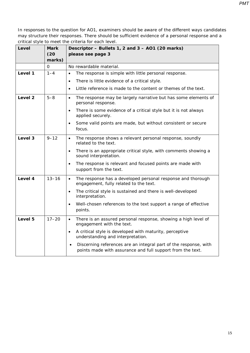| Level              | Mark           | Descriptor - Bullets 1, 2 and 3 - AO1 (20 marks)                                                                               |
|--------------------|----------------|--------------------------------------------------------------------------------------------------------------------------------|
|                    | (20)<br>marks) | please see page 3                                                                                                              |
|                    | 0              | No rewardable material.                                                                                                        |
| Level 1            | $1 - 4$        | The response is simple with little personal response.<br>$\bullet$                                                             |
|                    |                | There is little evidence of a critical style.<br>$\bullet$                                                                     |
|                    |                | Little reference is made to the content or themes of the text.<br>$\bullet$                                                    |
| Level <sub>2</sub> | $5 - 8$        | The response may be largely narrative but has some elements of<br>$\bullet$<br>personal response.                              |
|                    |                | There is some evidence of a critical style but it is not always<br>$\bullet$<br>applied securely.                              |
|                    |                | Some valid points are made, but without consistent or secure<br>$\bullet$<br>focus.                                            |
| Level 3            | $9 - 12$       | The response shows a relevant personal response, soundly<br>$\bullet$<br>related to the text.                                  |
|                    |                | There is an appropriate critical style, with comments showing a<br>$\bullet$<br>sound interpretation.                          |
|                    |                | The response is relevant and focused points are made with<br>$\bullet$<br>support from the text.                               |
| Level 4            | $13 - 16$      | The response has a developed personal response and thorough<br>$\bullet$<br>engagement, fully related to the text.             |
|                    |                | The critical style is sustained and there is well-developed<br>$\bullet$<br>interpretation.                                    |
|                    |                | Well-chosen references to the text support a range of effective<br>$\bullet$<br>points.                                        |
| Level 5            | $17 - 20$      | There is an assured personal response, showing a high level of<br>$\bullet$<br>engagement with the text.                       |
|                    |                | A critical style is developed with maturity, perceptive<br>$\bullet$<br>understanding and interpretation.                      |
|                    |                | Discerning references are an integral part of the response, with<br>points made with assurance and full support from the text. |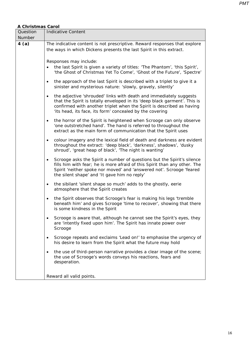## *A Christmas Carol*

| Question                                                                                                          | <b>Indicative Content</b>                                                                                                                                                                                                                                                                         |  |  |  |  |
|-------------------------------------------------------------------------------------------------------------------|---------------------------------------------------------------------------------------------------------------------------------------------------------------------------------------------------------------------------------------------------------------------------------------------------|--|--|--|--|
| Number                                                                                                            |                                                                                                                                                                                                                                                                                                   |  |  |  |  |
| 4(a)                                                                                                              | The indicative content is not prescriptive. Reward responses that explore                                                                                                                                                                                                                         |  |  |  |  |
|                                                                                                                   | the ways in which Dickens presents the last Spirit in this extract.                                                                                                                                                                                                                               |  |  |  |  |
|                                                                                                                   |                                                                                                                                                                                                                                                                                                   |  |  |  |  |
|                                                                                                                   | Responses may include:                                                                                                                                                                                                                                                                            |  |  |  |  |
|                                                                                                                   | the last Spirit is given a variety of titles: 'The Phantom', 'this Spirit',<br>'the Ghost of Christmas Yet To Come', 'Ghost of the Future', 'Spectre'                                                                                                                                             |  |  |  |  |
|                                                                                                                   | the approach of the last Spirit is described with a triplet to give it a<br>$\bullet$<br>sinister and mysterious nature: 'slowly, gravely, silently'                                                                                                                                              |  |  |  |  |
|                                                                                                                   | the adjective 'shrouded' links with death and immediately suggests<br>$\bullet$<br>that the Spirit is totally enveloped in its 'deep black garment'. This is<br>confirmed with another triplet when the Spirit is described as having<br>'its head, its face, its form' concealed by the covering |  |  |  |  |
|                                                                                                                   | the horror of the Spirit is heightened when Scrooge can only observe<br>$\bullet$<br>'one outstretched hand'. The hand is referred to throughout the<br>extract as the main form of communication that the Spirit uses                                                                            |  |  |  |  |
|                                                                                                                   | colour imagery and the lexical field of death and darkness are evident<br>$\bullet$<br>throughout the extract: 'deep black', 'darkness', shadows', 'dusky<br>shroud', 'great heap of black', 'The night is wanting'                                                                               |  |  |  |  |
|                                                                                                                   | Scrooge asks the Spirit a number of questions but the Spirit's silence<br>٠<br>fills him with fear; he is more afraid of this Spirit than any other. The<br>Spirit 'neither spoke nor moved' and 'answered not'. Scrooge 'feared<br>the silent shape' and 'It gave him no reply'                  |  |  |  |  |
| the sibilant 'silent shape so much' adds to the ghostly, eerie<br>$\bullet$<br>atmosphere that the Spirit creates |                                                                                                                                                                                                                                                                                                   |  |  |  |  |
|                                                                                                                   | the Spirit observes that Scrooge's fear is making his legs 'tremble<br>$\bullet$<br>beneath him' and gives Scrooge 'time to recover', showing that there<br>is some kindness in the Spirit                                                                                                        |  |  |  |  |
|                                                                                                                   | Scrooge is aware that, although he cannot see the Spirit's eyes, they<br>are 'intently fixed upon him'. The Spirit has innate power over<br>Scrooge                                                                                                                                               |  |  |  |  |
|                                                                                                                   | Scrooge repeats and exclaims 'Lead on!' to emphasise the urgency of<br>his desire to learn from the Spirit what the future may hold                                                                                                                                                               |  |  |  |  |
|                                                                                                                   | the use of third-person narrative provides a clear image of the scene;<br>the use of Scrooge's words conveys his reactions, fears and<br>desperation.                                                                                                                                             |  |  |  |  |
|                                                                                                                   | Reward all valid points.                                                                                                                                                                                                                                                                          |  |  |  |  |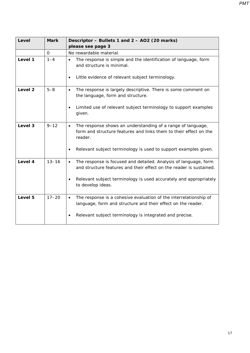| Level              | <b>Mark</b> | Descriptor - Bullets 1 and 2 - AO2 (20 marks)                                                                                                            |
|--------------------|-------------|----------------------------------------------------------------------------------------------------------------------------------------------------------|
|                    |             | please see page 3                                                                                                                                        |
|                    | $\Omega$    | No rewardable material.                                                                                                                                  |
| Level 1            | $1 - 4$     | The response is simple and the identification of language, form<br>$\bullet$<br>and structure is minimal.                                                |
|                    |             | Little evidence of relevant subject terminology.<br>$\bullet$                                                                                            |
| Level <sub>2</sub> | $5 - 8$     | The response is largely descriptive. There is some comment on<br>$\bullet$<br>the language, form and structure.                                          |
|                    |             | Limited use of relevant subject terminology to support examples<br>$\bullet$<br>given.                                                                   |
| Level 3            | $9 - 12$    | The response shows an understanding of a range of language,<br>$\bullet$<br>form and structure features and links them to their effect on the<br>reader. |
|                    |             | Relevant subject terminology is used to support examples given.<br>$\bullet$                                                                             |
| Level 4            | $13 - 16$   | The response is focused and detailed. Analysis of language, form<br>$\bullet$<br>and structure features and their effect on the reader is sustained.     |
|                    |             | Relevant subject terminology is used accurately and appropriately<br>$\bullet$<br>to develop ideas.                                                      |
| Level 5            | $17 - 20$   | The response is a cohesive evaluation of the interrelationship of<br>$\bullet$<br>language, form and structure and their effect on the reader.           |
|                    |             | Relevant subject terminology is integrated and precise.                                                                                                  |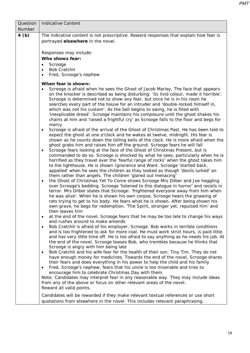Question Number Indicative Content **4 (b)** The indicative content is not prescriptive. Reward responses that explain how fear is portrayed **elsewhere** in the novel. Responses may include: **Who shows fear: Scrooge** • Bob Cratchit • Fred, Scrooge's nephew **When fear is shown:** • Scrooge is afraid when he sees the Ghost of Jacob Marley. The face that appears on the knocker is described as being disturbing: 'its livid colour, made it horrible'. Scrooge is determined not to show any fear, but once he is in his room he searches every part of the house for an intruder and 'double-locked himself in, which was not his custom'. As the bell begins to swing, he is filled with 'inexplicable dread'. Scrooge maintains his composure until the ghost shakes his chains at him and 'raised a frightful cry' as Scrooge falls to the floor and begs for mercy • Scrooge is afraid of the arrival of the Ghost of Christmas Past. He has been told to expect the ghost at one o'clock and he wakes at twelve, midnight. His fear is shown as he counts down the tolling bells of the clock. He is more afraid when the ghost grabs him and raises him off the ground; Scrooge fears he will fall • Scrooge fears looking at the face of the Ghost of Christmas Present, but is commanded to do so. Scrooge is shocked by what he sees, particularly when he is horrified as they travel over the 'fearful range of rocks' when the ghost takes him to the lighthouse. He is shown Ignorance and Want. Scrooge 'started back, appalled' when he sees the children as they looked as though 'devils lurked' on them rather than angels. The children 'glared out menacing' • the Ghost of Christmas Yet To Come shows Scrooge Mrs Dilber and Joe haggling over Scrooge's bedding. Scrooge 'listened to this dialogue in horror' and recoils in terror. Mrs Dilber states that Scrooge: 'frightened everyone away from him when he was alive'. When he is shown his own corpse, Scrooge hears the gnawing of rats trying to get to his body. He fears what he is shown. After being shown his own grave, he begs for redemption. 'The Spirit, stronger yet, repulsed him' and then leaves him • at the end of the novel, Scrooge fears that he may be too late to change his ways and rushes around to make amends • Bob Cratchit is afraid of his employer, Scrooge. Bob works in terrible conditions and is too frightened to ask for more coal. He must work strict hours, is paid little and has very little time off. He is too afraid to say anything as he needs his job. At the end of the novel, Scrooge teases Bob, who trembles because he thinks that Scrooge is angry with him being late • Bob Cratchit and his wife fear for the health of their son, Tiny Tim. They do not have enough money for medicines. Towards the end of the novel, Scrooge shares their fears and does everything in his power to help the child and his family • Fred, Scrooge's nephew, fears that his uncle is too miserable and tries to encourage him to celebrate Christmas Day with them. Note: Candidates may interpret fear in any reasonable way. They may include ideas from any of the above or focus on other relevant areas of the novel. Reward all valid points. Candidates will be rewarded if they make relevant textual references or use short quotations from elsewhere in the novel. This includes relevant paraphrasing.

*PMT*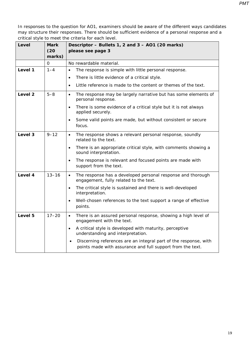| Level              | Mark                | Descriptor - Bullets 1, 2 and 3 - AO1 (20 marks)                                                                               |
|--------------------|---------------------|--------------------------------------------------------------------------------------------------------------------------------|
|                    | (20)<br>marks)      | please see page 3                                                                                                              |
|                    | $\mathsf{O}\xspace$ | No rewardable material.                                                                                                        |
| Level 1            | $1 - 4$             | The response is simple with little personal response.<br>$\bullet$                                                             |
|                    |                     | There is little evidence of a critical style.<br>$\bullet$                                                                     |
|                    |                     | Little reference is made to the content or themes of the text.<br>$\bullet$                                                    |
| Level <sub>2</sub> | $5 - 8$             | The response may be largely narrative but has some elements of<br>$\bullet$<br>personal response.                              |
|                    |                     | There is some evidence of a critical style but it is not always<br>$\bullet$<br>applied securely.                              |
|                    |                     | Some valid points are made, but without consistent or secure<br>focus.                                                         |
| Level 3            | $9 - 12$            | The response shows a relevant personal response, soundly<br>$\bullet$<br>related to the text.                                  |
|                    |                     | There is an appropriate critical style, with comments showing a<br>$\bullet$<br>sound interpretation.                          |
|                    |                     | The response is relevant and focused points are made with<br>$\bullet$<br>support from the text.                               |
| Level 4            | $13 - 16$           | The response has a developed personal response and thorough<br>$\bullet$<br>engagement, fully related to the text.             |
|                    |                     | The critical style is sustained and there is well-developed<br>$\bullet$<br>interpretation.                                    |
|                    |                     | Well-chosen references to the text support a range of effective<br>$\bullet$<br>points.                                        |
| Level 5            | $17 - 20$           | There is an assured personal response, showing a high level of<br>$\bullet$<br>engagement with the text.                       |
|                    |                     | A critical style is developed with maturity, perceptive<br>$\bullet$<br>understanding and interpretation.                      |
|                    |                     | Discerning references are an integral part of the response, with<br>points made with assurance and full support from the text. |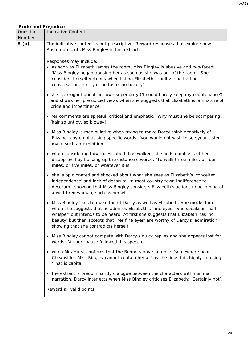## *Pride and Prejudice*

| Question | <b>Indicative Content</b>                                                                                                                                                                                                                                                                                                                                                      |  |  |  |  |
|----------|--------------------------------------------------------------------------------------------------------------------------------------------------------------------------------------------------------------------------------------------------------------------------------------------------------------------------------------------------------------------------------|--|--|--|--|
| Number   |                                                                                                                                                                                                                                                                                                                                                                                |  |  |  |  |
| 5(a)     | The indicative content is not prescriptive. Reward responses that explore how<br>Austen presents Miss Bingley in this extract.                                                                                                                                                                                                                                                 |  |  |  |  |
|          | Responses may include:<br>• as soon as Elizabeth leaves the room, Miss Bingley is abusive and two-faced:<br>'Miss Bingley began abusing her as soon as she was out of the room'. She<br>considers herself virtuous when listing Elizabeth's faults: 'she had no<br>conversation, no style, no taste, no beauty'                                                                |  |  |  |  |
|          | • she is arrogant about her own superiority ('I could hardly keep my countenance')<br>and shows her prejudiced views when she suggests that Elizabeth is 'a mixture of<br>pride and impertinence'                                                                                                                                                                              |  |  |  |  |
|          | • her comments are spiteful, critical and emphatic: 'Why must she be scampering',<br>'hair so untidy, so blowsy!'                                                                                                                                                                                                                                                              |  |  |  |  |
|          | • Miss Bingley is manipulative when trying to make Darcy think negatively of<br>Elizabeth by emphasising specific words: 'you would not wish to see your sister<br>make such an exhibition'                                                                                                                                                                                    |  |  |  |  |
|          | • when considering how far Elizabeth has walked, she adds emphasis of her<br>disapproval by building up the distance covered: 'To walk three miles, or four<br>miles, or five miles, or whatever it is'                                                                                                                                                                        |  |  |  |  |
|          | • she is opinionated and shocked about what she sees as Elizabeth's 'conceited<br>independence' and lack of decorum: 'a most country town indifference to<br>decorum', showing that Miss Bingley considers Elizabeth's actions unbecoming of<br>a well-bred woman, such as herself                                                                                             |  |  |  |  |
|          | • Miss Bingley likes to make fun of Darcy as well as Elizabeth. She mocks him<br>when she suggests that he admires Elizabeth's 'fine eyes'. She speaks in 'half<br>whisper' but intends to be heard. At first she suggests that Elizabeth has 'no<br>beauty' but then accepts that 'her fine eyes' are worthy of Darcy's 'admiration',<br>showing that she contradicts herself |  |  |  |  |
|          | Miss Bingley cannot compete with Darcy's quick replies and she appears lost for<br>$\bullet$<br>words: 'A short pause followed this speech'                                                                                                                                                                                                                                    |  |  |  |  |
|          | • when Mrs Hurst confirms that the Bennets have an uncle 'somewhere near<br>Cheapside', Miss Bingley cannot contain herself as she finds this highly amusing:<br>'That is capital'                                                                                                                                                                                             |  |  |  |  |
|          | • the extract is predominantly dialogue between the characters with minimal<br>narration. Darcy interjects when Miss Bingley criticises Elizabeth: 'Certainly not'.                                                                                                                                                                                                            |  |  |  |  |
|          | Reward all valid points.                                                                                                                                                                                                                                                                                                                                                       |  |  |  |  |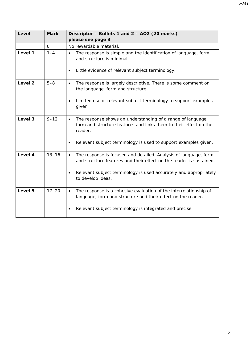| Level              | <b>Mark</b>  | Descriptor - Bullets 1 and 2 - AO2 (20 marks)                                                                                                            |
|--------------------|--------------|----------------------------------------------------------------------------------------------------------------------------------------------------------|
|                    |              | please see page 3                                                                                                                                        |
|                    | $\mathbf{O}$ | No rewardable material.                                                                                                                                  |
| Level 1            | $1 - 4$      | The response is simple and the identification of language, form<br>$\bullet$<br>and structure is minimal.                                                |
|                    |              | Little evidence of relevant subject terminology.<br>$\bullet$                                                                                            |
| Level <sub>2</sub> | $5 - 8$      | The response is largely descriptive. There is some comment on<br>$\bullet$<br>the language, form and structure.                                          |
|                    |              | Limited use of relevant subject terminology to support examples<br>$\bullet$<br>given.                                                                   |
| Level 3            | $9 - 12$     | The response shows an understanding of a range of language,<br>$\bullet$<br>form and structure features and links them to their effect on the<br>reader. |
|                    |              | Relevant subject terminology is used to support examples given.<br>$\bullet$                                                                             |
| Level 4            | $13 - 16$    | The response is focused and detailed. Analysis of language, form<br>$\bullet$<br>and structure features and their effect on the reader is sustained.     |
|                    |              | Relevant subject terminology is used accurately and appropriately<br>$\bullet$<br>to develop ideas.                                                      |
| Level 5            | $17 - 20$    | The response is a cohesive evaluation of the interrelationship of<br>$\bullet$<br>language, form and structure and their effect on the reader.           |
|                    |              | Relevant subject terminology is integrated and precise.<br>$\bullet$                                                                                     |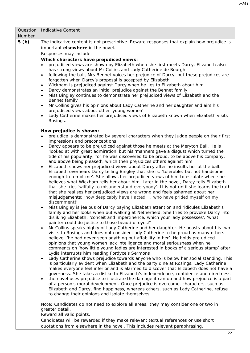| Question<br>Number | <b>Indicative Content</b>                                                                                                                                                                   |  |  |  |  |  |
|--------------------|---------------------------------------------------------------------------------------------------------------------------------------------------------------------------------------------|--|--|--|--|--|
| 5(b)               | The indicative content is not prescriptive. Reward responses that explain how prejudice is                                                                                                  |  |  |  |  |  |
|                    | important elsewhere in the novel.                                                                                                                                                           |  |  |  |  |  |
|                    | Responses may include:                                                                                                                                                                      |  |  |  |  |  |
|                    |                                                                                                                                                                                             |  |  |  |  |  |
|                    | Which characters have prejudiced views:<br>prejudiced views are shown by Elizabeth when she first meets Darcy. Elizabeth also<br>$\bullet$                                                  |  |  |  |  |  |
|                    | has strong views about Mr Collins and Lady Catherine de Bourgh                                                                                                                              |  |  |  |  |  |
|                    | following the ball, Mrs Bennet voices her prejudice of Darcy, but these prejudices are<br>$\bullet$                                                                                         |  |  |  |  |  |
|                    | forgotten when Darcy's proposal is accepted by Elizabeth                                                                                                                                    |  |  |  |  |  |
|                    | Wickham is prejudiced against Darcy when he lies to Elizabeth about him<br>$\bullet$                                                                                                        |  |  |  |  |  |
|                    | Darcy demonstrates an initial prejudice against the Bennet family<br>$\bullet$                                                                                                              |  |  |  |  |  |
|                    | Miss Bingley continues to demonstrate her prejudiced views of Elizabeth and the<br>$\bullet$<br>Bennet family                                                                               |  |  |  |  |  |
|                    | Mr Collins gives his opinions about Lady Catherine and her daughter and airs his<br>$\bullet$                                                                                               |  |  |  |  |  |
|                    | prejudiced views about other 'young women'                                                                                                                                                  |  |  |  |  |  |
|                    | Lady Catherine makes her prejudiced views of Elizabeth known when Elizabeth visits<br>$\bullet$<br>Rosings.                                                                                 |  |  |  |  |  |
|                    |                                                                                                                                                                                             |  |  |  |  |  |
|                    | How prejudice is shown:<br>prejudice is demonstrated by several characters when they judge people on their first                                                                            |  |  |  |  |  |
|                    | impressions and preconceptions                                                                                                                                                              |  |  |  |  |  |
|                    | Darcy appears to be prejudiced against those he meets at the Meryton Ball. He is<br>$\bullet$                                                                                               |  |  |  |  |  |
|                    | 'looked at with great admiration' but his 'manners gave a disgust which turned the                                                                                                          |  |  |  |  |  |
|                    | tide of his popularity; for he was discovered to be proud, to be above his company,                                                                                                         |  |  |  |  |  |
|                    | and above being pleased', which then prejudices others against him                                                                                                                          |  |  |  |  |  |
|                    | Elizabeth shows her prejudiced views about Darcy after he insults her at the ball.<br>$\bullet$<br>Elizabeth overhears Darcy telling Bingley that she is: 'tolerable; but not handsome      |  |  |  |  |  |
|                    | enough to tempt me'. She allows her prejudiced views of him to escalate when she                                                                                                            |  |  |  |  |  |
|                    | believes what Wickham tells her about him. Later in the novel, Darcy tells Elizabeth                                                                                                        |  |  |  |  |  |
|                    | that she tries 'wilfully to misunderstand everybody'. It is not until she learns the truth                                                                                                  |  |  |  |  |  |
|                    | that she realises her prejudiced views are wrong and feels ashamed about her                                                                                                                |  |  |  |  |  |
|                    | misjudgements: 'how despicably have I acted. I, who have prided myself on my                                                                                                                |  |  |  |  |  |
|                    | discernment!'                                                                                                                                                                               |  |  |  |  |  |
|                    | Miss Bingley is jealous of Darcy paying Elizabeth attention and ridicules Elizabeth's<br>$\bullet$<br>family and her looks when out walking at Netherfield. She tries to provoke Darcy into |  |  |  |  |  |
|                    | disliking Elizabeth: 'conceit and impertinence, which your lady possesses', 'what                                                                                                           |  |  |  |  |  |
|                    | painter could do justice to those beautiful eyes?'                                                                                                                                          |  |  |  |  |  |
|                    | Mr Collins speaks highly of Lady Catherine and her daughter. He boasts about his two<br>$\bullet$                                                                                           |  |  |  |  |  |
|                    | visits to Rosings and does not consider Lady Catherine to be proud as many others                                                                                                           |  |  |  |  |  |
|                    | believe: 'he had never seen anything but affability in her'. He holds prejudiced                                                                                                            |  |  |  |  |  |
|                    | opinions that young women lack intelligence and moral seriousness when he<br>comments on 'how little young ladies are interested in books of a serious stamp' after                         |  |  |  |  |  |
|                    | Lydia interrupts him reading Fordyce's Sermons                                                                                                                                              |  |  |  |  |  |
|                    | Lady Catherine shows prejudice towards anyone who is below her social standing. This<br>$\bullet$                                                                                           |  |  |  |  |  |
|                    | is particularly evident when Elizabeth and the party dine at Rosings. Lady Catherine                                                                                                        |  |  |  |  |  |
|                    | makes everyone feel inferior and is alarmed to discover that Elizabeth does not have a                                                                                                      |  |  |  |  |  |
|                    | governess. She takes a dislike to Elizabeth's independence, confidence and directness                                                                                                       |  |  |  |  |  |
|                    | the novel uses prejudice to illustrate the damage it can do and how prejudice is a part<br>$\bullet$                                                                                        |  |  |  |  |  |
|                    | of a person's moral development. Once prejudice is overcome, characters, such as<br>Elizabeth and Darcy, find happiness, whereas others, such as Lady Catherine, refuse                     |  |  |  |  |  |
|                    | to change their opinions and isolate themselves.                                                                                                                                            |  |  |  |  |  |
|                    |                                                                                                                                                                                             |  |  |  |  |  |
|                    | Note: Candidates do not need to explore all areas; they may consider one or two in<br>greater detail.                                                                                       |  |  |  |  |  |
|                    | Reward all valid points.                                                                                                                                                                    |  |  |  |  |  |
|                    | Candidates will be rewarded if they make relevant textual references or use short                                                                                                           |  |  |  |  |  |
|                    | quotations from elsewhere in the novel. This includes relevant paraphrasing.                                                                                                                |  |  |  |  |  |
|                    |                                                                                                                                                                                             |  |  |  |  |  |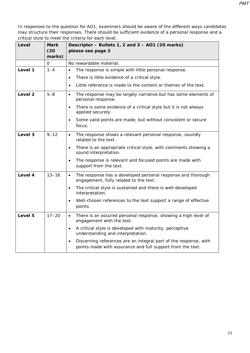| Level   | Mark        | Descriptor - Bullets 1, 2 and 3 - AO1 (20 marks)                                                                                            |
|---------|-------------|---------------------------------------------------------------------------------------------------------------------------------------------|
|         | (20)        | please see page 3                                                                                                                           |
|         | marks)      |                                                                                                                                             |
|         | $\mathbf 0$ | No rewardable material.                                                                                                                     |
| Level 1 | $1 - 4$     | The response is simple with little personal response.<br>$\bullet$                                                                          |
|         |             | There is little evidence of a critical style.<br>$\bullet$                                                                                  |
|         |             | Little reference is made to the content or themes of the text.<br>$\bullet$                                                                 |
| Level 2 | $5 - 8$     | The response may be largely narrative but has some elements of<br>$\bullet$<br>personal response.                                           |
|         |             | There is some evidence of a critical style but it is not always<br>$\bullet$<br>applied securely.                                           |
|         |             | Some valid points are made, but without consistent or secure<br>$\bullet$<br>focus.                                                         |
| Level 3 | $9 - 12$    | The response shows a relevant personal response, soundly<br>$\bullet$<br>related to the text.                                               |
|         |             | There is an appropriate critical style, with comments showing a<br>$\bullet$<br>sound interpretation.                                       |
|         |             | The response is relevant and focused points are made with<br>$\bullet$<br>support from the text.                                            |
| Level 4 | $13 - 16$   | The response has a developed personal response and thorough<br>$\bullet$<br>engagement, fully related to the text.                          |
|         |             | The critical style is sustained and there is well-developed<br>$\bullet$<br>interpretation.                                                 |
|         |             | Well-chosen references to the text support a range of effective<br>$\bullet$<br>points.                                                     |
| Level 5 | $17 - 20$   | There is an assured personal response, showing a high level of<br>$\bullet$<br>engagement with the text.                                    |
|         |             | A critical style is developed with maturity, perceptive<br>$\bullet$<br>understanding and interpretation.                                   |
|         |             | Discerning references are an integral part of the response, with<br>$\bullet$<br>points made with assurance and full support from the text. |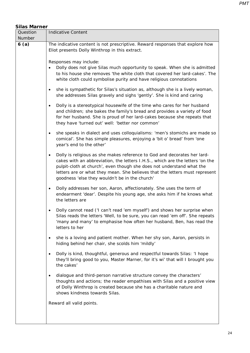| <b>Silas Marner</b> |                                                                                                                                                                                                                                                                                                                                                                                  |  |  |  |  |
|---------------------|----------------------------------------------------------------------------------------------------------------------------------------------------------------------------------------------------------------------------------------------------------------------------------------------------------------------------------------------------------------------------------|--|--|--|--|
| Question            | <b>Indicative Content</b>                                                                                                                                                                                                                                                                                                                                                        |  |  |  |  |
| Number              |                                                                                                                                                                                                                                                                                                                                                                                  |  |  |  |  |
| 6(a)                | The indicative content is not prescriptive. Reward responses that explore how<br>Eliot presents Dolly Winthrop in this extract.                                                                                                                                                                                                                                                  |  |  |  |  |
|                     | Responses may include:<br>Dolly does not give Silas much opportunity to speak. When she is admitted<br>to his house she removes 'the white cloth that covered her lard-cakes'. The<br>white cloth could symbolise purity and have religious connotations                                                                                                                         |  |  |  |  |
|                     | she is sympathetic for Silas's situation as, although she is a lively woman,<br>$\bullet$<br>she addresses Silas gravely and sighs 'gently'. She is kind and caring                                                                                                                                                                                                              |  |  |  |  |
|                     | Dolly is a stereotypical housewife of the time who cares for her husband<br>$\bullet$<br>and children; she bakes the family's bread and provides a variety of food<br>for her husband. She is proud of her lard-cakes because she repeats that<br>they have 'turned out' well: 'better nor common'                                                                               |  |  |  |  |
|                     | she speaks in dialect and uses colloquialisms: 'men's stomichs are made so<br>$\bullet$<br>comical'. She has simple pleasures, enjoying a 'bit o' bread' from 'one<br>year's end to the other'                                                                                                                                                                                   |  |  |  |  |
|                     | Dolly is religious as she makes reference to God and decorates her lard-<br>$\bullet$<br>cakes with an abbreviation, the letters I.H.S., which are the letters 'on the<br>pulpit-cloth at church', even though she does not understand what the<br>letters are or what they mean. She believes that the letters must represent<br>goodness 'else they wouldn't be in the church' |  |  |  |  |
|                     | Dolly addresses her son, Aaron, affectionately. She uses the term of<br>$\bullet$<br>endearment 'dear'. Despite his young age, she asks him if he knows what<br>the letters are                                                                                                                                                                                                  |  |  |  |  |
|                     | Dolly cannot read ('I can't read 'em myself') and shows her surprise when<br>Silas reads the letters 'Well, to be sure, you can read 'em off'. She repeats<br>'many and many' to emphasise how often her husband, Ben, has read the<br>letters to her                                                                                                                            |  |  |  |  |
|                     | she is a loving and patient mother. When her shy son, Aaron, persists in<br>$\bullet$<br>hiding behind her chair, she scolds him 'mildly'                                                                                                                                                                                                                                        |  |  |  |  |
|                     | Dolly is kind, thoughtful, generous and respectful towards Silas: 'I hope<br>$\bullet$<br>they'll bring good to you, Master Marner, for it's wi' that will I brought you<br>the cakes'                                                                                                                                                                                           |  |  |  |  |
|                     | dialogue and third-person narrative structure convey the characters'<br>$\bullet$<br>thoughts and actions; the reader empathises with Silas and a positive view<br>of Dolly Winthrop is created because she has a charitable nature and<br>shows kindness towards Silas.                                                                                                         |  |  |  |  |
|                     | Reward all valid points.                                                                                                                                                                                                                                                                                                                                                         |  |  |  |  |
|                     |                                                                                                                                                                                                                                                                                                                                                                                  |  |  |  |  |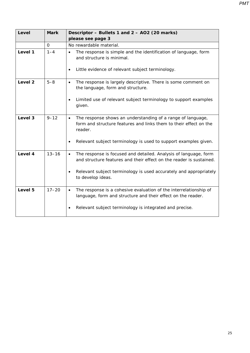| Level              | <b>Mark</b> | Descriptor - Bullets 1 and 2 - AO2 (20 marks)<br>please see page 3                                                                                       |
|--------------------|-------------|----------------------------------------------------------------------------------------------------------------------------------------------------------|
|                    | $\Omega$    | No rewardable material.                                                                                                                                  |
| Level 1            | $1 - 4$     | The response is simple and the identification of language, form<br>$\bullet$<br>and structure is minimal.                                                |
|                    |             | Little evidence of relevant subject terminology.<br>$\bullet$                                                                                            |
| Level <sub>2</sub> | $5 - 8$     | The response is largely descriptive. There is some comment on<br>$\bullet$<br>the language, form and structure.                                          |
|                    |             | Limited use of relevant subject terminology to support examples<br>$\bullet$<br>given.                                                                   |
| Level 3            | $9 - 12$    | The response shows an understanding of a range of language,<br>$\bullet$<br>form and structure features and links them to their effect on the<br>reader. |
|                    |             | Relevant subject terminology is used to support examples given.<br>$\bullet$                                                                             |
| Level 4            | $13 - 16$   | The response is focused and detailed. Analysis of language, form<br>$\bullet$<br>and structure features and their effect on the reader is sustained.     |
|                    |             | Relevant subject terminology is used accurately and appropriately<br>$\bullet$<br>to develop ideas.                                                      |
| Level 5            | $17 - 20$   | The response is a cohesive evaluation of the interrelationship of<br>$\bullet$<br>language, form and structure and their effect on the reader.           |
|                    |             | Relevant subject terminology is integrated and precise.<br>$\bullet$                                                                                     |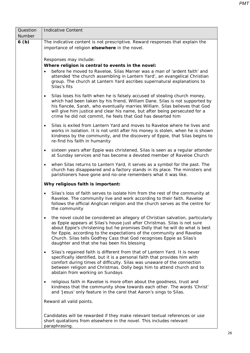| Question | Indicative Content                                                                                                                                                                                                                                                                                                                                                                                                                           |  |  |  |  |
|----------|----------------------------------------------------------------------------------------------------------------------------------------------------------------------------------------------------------------------------------------------------------------------------------------------------------------------------------------------------------------------------------------------------------------------------------------------|--|--|--|--|
| Number   |                                                                                                                                                                                                                                                                                                                                                                                                                                              |  |  |  |  |
| 6(b)     | The indicative content is not prescriptive. Reward responses that explain the<br>importance of religion elsewhere in the novel.                                                                                                                                                                                                                                                                                                              |  |  |  |  |
|          | Responses may include:<br>Where religion is central to events in the novel:<br>before he moved to Raveloe, Silas Marner was a man of 'ardent faith' and<br>attended 'the church assembling in Lantern Yard', an evangelical Christian<br>group. The church at Lantern Yard ascribes supernatural explanations to<br>Silas's fits                                                                                                             |  |  |  |  |
|          | Silas loses his faith when he is falsely accused of stealing church money,<br>$\bullet$<br>which had been taken by his friend, William Dane. Silas is not supported by<br>his fiancée, Sarah, who eventually marries William. Silas believes that God<br>will give him justice and clear his name, but after being persecuted for a<br>crime he did not commit, he feels that God has deserted him                                           |  |  |  |  |
|          | Silas is exiled from Lantern Yard and moves to Raveloe where he lives and<br>$\bullet$<br>works in isolation. It is not until after his money is stolen, when he is shown<br>kindness by the community, and the discovery of Eppie, that Silas begins to<br>re-find his faith in humanity                                                                                                                                                    |  |  |  |  |
|          | sixteen years after Eppie was christened, Silas is seen as a regular attender<br>$\bullet$<br>at Sunday services and has become a devoted member of Raveloe Church                                                                                                                                                                                                                                                                           |  |  |  |  |
|          | when Silas returns to Lantern Yard, it serves as a symbol for the past. The<br>$\bullet$<br>church has disappeared and a factory stands in its place. The ministers and<br>parishioners have gone and no-one remembers what it was like.                                                                                                                                                                                                     |  |  |  |  |
|          | Why religious faith is important:                                                                                                                                                                                                                                                                                                                                                                                                            |  |  |  |  |
|          | Silas's loss of faith serves to isolate him from the rest of the community at<br>$\bullet$<br>Raveloe. The community live and work according to their faith. Raveloe<br>follows the official Anglican religion and the church serves as the centre for<br>the community                                                                                                                                                                      |  |  |  |  |
|          | the novel could be considered an allegory of Christian salvation, particularly<br>as Eppie appears at Silas's house just after Christmas. Silas is not sure<br>about Eppie's christening but he promises Dolly that he will do what is best<br>for Eppie, according to the expectations of the community and Raveloe<br>Church. Silas tells Godfrey Cass that God recognises Eppie as Silas's<br>daughter and that she has been his blessing |  |  |  |  |
|          | Silas's regained faith is different from that of Lantern Yard. It is never<br>$\bullet$<br>specifically identified, but it is a personal faith that provides him with<br>comfort during times of difficulty. Silas was unaware of the connection<br>between religion and Christmas. Dolly begs him to attend church and to<br>abstain from working on Sundays                                                                                |  |  |  |  |
|          | religious faith in Raveloe is more often about the goodness, trust and<br>$\bullet$<br>kindness that the community show towards each other. The words 'Christ'<br>and 'Jesus' only feature in the carol that Aaron's sings to Silas.                                                                                                                                                                                                         |  |  |  |  |
|          | Reward all valid points.                                                                                                                                                                                                                                                                                                                                                                                                                     |  |  |  |  |
|          | Candidates will be rewarded if they make relevant textual references or use<br>short quotations from elsewhere in the novel. This includes relevant<br>paraphrasing.                                                                                                                                                                                                                                                                         |  |  |  |  |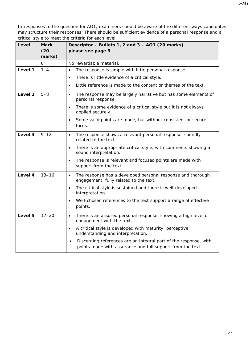| Level   | <b>Mark</b>    | Descriptor - Bullets 1, 2 and 3 - AO1 (20 marks)                                                                               |
|---------|----------------|--------------------------------------------------------------------------------------------------------------------------------|
|         | (20)<br>marks) | please see page 3                                                                                                              |
|         | $\mathbf 0$    | No rewardable material.                                                                                                        |
| Level 1 | $1 - 4$        | The response is simple with little personal response.<br>$\bullet$                                                             |
|         |                | There is little evidence of a critical style.<br>$\bullet$                                                                     |
|         |                | Little reference is made to the content or themes of the text.<br>$\bullet$                                                    |
| Level 2 | $5 - 8$        | The response may be largely narrative but has some elements of<br>$\bullet$<br>personal response.                              |
|         |                | There is some evidence of a critical style but it is not always<br>$\bullet$<br>applied securely.                              |
|         |                | Some valid points are made, but without consistent or secure<br>focus.                                                         |
| Level 3 | $9 - 12$       | The response shows a relevant personal response, soundly<br>$\bullet$<br>related to the text.                                  |
|         |                | There is an appropriate critical style, with comments showing a<br>$\bullet$<br>sound interpretation.                          |
|         |                | The response is relevant and focused points are made with<br>$\bullet$<br>support from the text.                               |
| Level 4 | $13 - 16$      | The response has a developed personal response and thorough<br>$\bullet$<br>engagement, fully related to the text.             |
|         |                | The critical style is sustained and there is well-developed<br>$\bullet$<br>interpretation.                                    |
|         |                | Well-chosen references to the text support a range of effective<br>$\bullet$<br>points.                                        |
| Level 5 | $17 - 20$      | There is an assured personal response, showing a high level of<br>$\bullet$<br>engagement with the text.                       |
|         |                | A critical style is developed with maturity, perceptive<br>$\bullet$<br>understanding and interpretation.                      |
|         |                | Discerning references are an integral part of the response, with<br>points made with assurance and full support from the text. |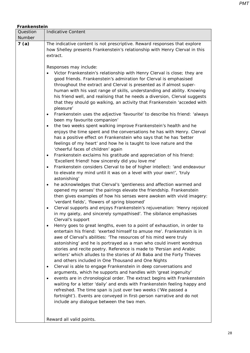| Frankenstein |                                                                                                                                                                                                                                                                                                                                                                                                                                                                                                                                                                                                                                                                                                                                                                                                                                                                                                                                                                                                                                                                                                                                                                                                                                                                                                                                                                                                                                                                                                                                                                                                                                                                                                                                                                                                                                                                                                                                                                                                                                                                                                                                                                                                                                                                                                                                                                                                                                                                                  |  |  |  |
|--------------|----------------------------------------------------------------------------------------------------------------------------------------------------------------------------------------------------------------------------------------------------------------------------------------------------------------------------------------------------------------------------------------------------------------------------------------------------------------------------------------------------------------------------------------------------------------------------------------------------------------------------------------------------------------------------------------------------------------------------------------------------------------------------------------------------------------------------------------------------------------------------------------------------------------------------------------------------------------------------------------------------------------------------------------------------------------------------------------------------------------------------------------------------------------------------------------------------------------------------------------------------------------------------------------------------------------------------------------------------------------------------------------------------------------------------------------------------------------------------------------------------------------------------------------------------------------------------------------------------------------------------------------------------------------------------------------------------------------------------------------------------------------------------------------------------------------------------------------------------------------------------------------------------------------------------------------------------------------------------------------------------------------------------------------------------------------------------------------------------------------------------------------------------------------------------------------------------------------------------------------------------------------------------------------------------------------------------------------------------------------------------------------------------------------------------------------------------------------------------------|--|--|--|
| Question     | <b>Indicative Content</b>                                                                                                                                                                                                                                                                                                                                                                                                                                                                                                                                                                                                                                                                                                                                                                                                                                                                                                                                                                                                                                                                                                                                                                                                                                                                                                                                                                                                                                                                                                                                                                                                                                                                                                                                                                                                                                                                                                                                                                                                                                                                                                                                                                                                                                                                                                                                                                                                                                                        |  |  |  |
| Number       |                                                                                                                                                                                                                                                                                                                                                                                                                                                                                                                                                                                                                                                                                                                                                                                                                                                                                                                                                                                                                                                                                                                                                                                                                                                                                                                                                                                                                                                                                                                                                                                                                                                                                                                                                                                                                                                                                                                                                                                                                                                                                                                                                                                                                                                                                                                                                                                                                                                                                  |  |  |  |
| 7(a)         | The indicative content is not prescriptive. Reward responses that explore<br>how Shelley presents Frankenstein's relationship with Henry Clerval in this<br>extract.                                                                                                                                                                                                                                                                                                                                                                                                                                                                                                                                                                                                                                                                                                                                                                                                                                                                                                                                                                                                                                                                                                                                                                                                                                                                                                                                                                                                                                                                                                                                                                                                                                                                                                                                                                                                                                                                                                                                                                                                                                                                                                                                                                                                                                                                                                             |  |  |  |
|              | Responses may include:<br>Victor Frankenstein's relationship with Henry Clerval is close; they are<br>good friends. Frankenstein's admiration for Clerval is emphasised<br>throughout the extract and Clerval is presented as if almost super-<br>human with his vast range of skills, understanding and ability. Knowing<br>his friend well, and realising that he needs a diversion, Clerval suggests<br>that they should go walking, an activity that Frankenstein 'acceded with<br>pleasure'<br>Frankenstein uses the adjective 'favourite' to describe his friend: 'always<br>been my favourite companion'<br>the two weeks spent walking improve Frankenstein's health and he<br>$\bullet$<br>enjoys the time spent and the conversations he has with Henry. Clerval<br>has a positive effect on Frankenstein who says that he has 'better<br>feelings of my heart' and how he is taught to love nature and the<br>'cheerful faces of children' again<br>Frankenstein exclaims his gratitude and appreciation of his friend:<br>$\bullet$<br>'Excellent friend! how sincerely did you love me'<br>Frankenstein considers Clerval to be of higher intellect: 'and endeavour<br>$\bullet$<br>to elevate my mind until it was on a level with your own!', 'truly<br>astonishing'<br>he acknowledges that Clerval's 'gentleness and affection warmed and<br>opened my senses' the pairings elevate the friendship. Frankenstein<br>then gives examples of how his senses were awoken with vivid imagery:<br>'verdant fields', 'flowers of spring bloomed'<br>Clerval supports and enjoys Frankenstein's rejuvenation: 'Henry rejoiced<br>in my gaiety, and sincerely sympathised'. The sibilance emphasises<br>Clerval's support<br>Henry goes to great lengths, even to a point of exhaustion, in order to<br>٠<br>entertain his friend: 'exerted himself to amuse me'. Frankenstein is in<br>awe of Clerval's abilities: 'The resources of his mind were truly<br>astonishing' and he is portrayed as a man who could invent wondrous<br>stories and recite poetry. Reference is made to 'Persian and Arabic<br>writers' which alludes to the stories of Ali Baba and the Forty Thieves<br>and others included in One Thousand and One Nights<br>Clerval is able to engage Frankenstein in deep conversations and<br>$\bullet$<br>arguments, which he supports and handles with 'great ingenuity'<br>events are in chronological order. The extract begins with Frankenstein |  |  |  |
|              | waiting for a letter 'daily' and ends with Frankenstein feeling happy and<br>refreshed. The time span is just over two weeks ('We passed a<br>fortnight'). Events are conveyed in first-person narrative and do not<br>include any dialogue between the two men.                                                                                                                                                                                                                                                                                                                                                                                                                                                                                                                                                                                                                                                                                                                                                                                                                                                                                                                                                                                                                                                                                                                                                                                                                                                                                                                                                                                                                                                                                                                                                                                                                                                                                                                                                                                                                                                                                                                                                                                                                                                                                                                                                                                                                 |  |  |  |
|              | Reward all valid points.                                                                                                                                                                                                                                                                                                                                                                                                                                                                                                                                                                                                                                                                                                                                                                                                                                                                                                                                                                                                                                                                                                                                                                                                                                                                                                                                                                                                                                                                                                                                                                                                                                                                                                                                                                                                                                                                                                                                                                                                                                                                                                                                                                                                                                                                                                                                                                                                                                                         |  |  |  |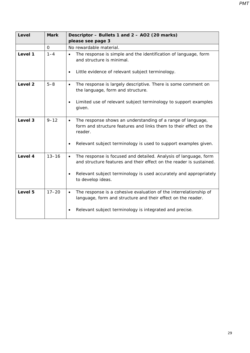| Level              | <b>Mark</b>  | Descriptor - Bullets 1 and 2 - AO2 (20 marks)                                                                                                            |
|--------------------|--------------|----------------------------------------------------------------------------------------------------------------------------------------------------------|
|                    |              | please see page 3                                                                                                                                        |
|                    | $\mathbf{O}$ | No rewardable material.                                                                                                                                  |
| Level 1            | $1 - 4$      | The response is simple and the identification of language, form<br>$\bullet$<br>and structure is minimal.                                                |
|                    |              | Little evidence of relevant subject terminology.<br>$\bullet$                                                                                            |
| Level <sub>2</sub> | $5 - 8$      | The response is largely descriptive. There is some comment on<br>$\bullet$<br>the language, form and structure.                                          |
|                    |              | Limited use of relevant subject terminology to support examples<br>given.                                                                                |
| Level 3            | $9 - 12$     | The response shows an understanding of a range of language,<br>$\bullet$<br>form and structure features and links them to their effect on the<br>reader. |
|                    |              | Relevant subject terminology is used to support examples given.<br>$\bullet$                                                                             |
| Level 4            | $13 - 16$    | The response is focused and detailed. Analysis of language, form<br>$\bullet$<br>and structure features and their effect on the reader is sustained.     |
|                    |              | Relevant subject terminology is used accurately and appropriately<br>$\bullet$<br>to develop ideas.                                                      |
| Level 5            | $17 - 20$    | The response is a cohesive evaluation of the interrelationship of<br>$\bullet$<br>language, form and structure and their effect on the reader.           |
|                    |              | Relevant subject terminology is integrated and precise.<br>$\bullet$                                                                                     |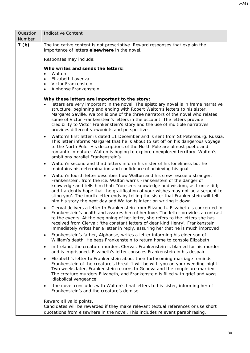| Question | <b>Indicative Content</b>                                                                                                                                                                                                                                                                                                                                                                                                                                                                                              |  |  |
|----------|------------------------------------------------------------------------------------------------------------------------------------------------------------------------------------------------------------------------------------------------------------------------------------------------------------------------------------------------------------------------------------------------------------------------------------------------------------------------------------------------------------------------|--|--|
| Number   |                                                                                                                                                                                                                                                                                                                                                                                                                                                                                                                        |  |  |
| 7(b)     | The indicative content is not prescriptive. Reward responses that explain the<br>importance of letters elsewhere in the novel.                                                                                                                                                                                                                                                                                                                                                                                         |  |  |
|          | Responses may include:                                                                                                                                                                                                                                                                                                                                                                                                                                                                                                 |  |  |
|          | Who writes and sends the letters:<br>Walton<br>$\bullet$                                                                                                                                                                                                                                                                                                                                                                                                                                                               |  |  |
|          | Elizabeth Lavenza<br>$\bullet$                                                                                                                                                                                                                                                                                                                                                                                                                                                                                         |  |  |
|          | Victor Frankenstein<br>$\bullet$<br>Alphonse Frankenstein<br>$\bullet$                                                                                                                                                                                                                                                                                                                                                                                                                                                 |  |  |
|          |                                                                                                                                                                                                                                                                                                                                                                                                                                                                                                                        |  |  |
|          | Why these letters are important to the story:<br>letters are very important in the novel. The epistolary novel is in frame narrative<br>structure, beginning and ending with Robert Walton's letters to his sister,<br>Margaret Saville. Walton is one of the three narrators of the novel who relates<br>some of Victor Frankenstein's letters in the account. The letters provide<br>credibility to Victor Frankenstein's story and the use of multiple narratives<br>provides different viewpoints and perspectives |  |  |
|          | Walton's first letter is dated 11 December and is sent from St Petersburg, Russia.<br>$\bullet$<br>This letter informs Margaret that he is about to set off on his dangerous voyage<br>to the North Pole. His descriptions of the North Pole are almost poetic and<br>romantic in nature. Walton is hoping to explore unexplored territory. Walton's<br>ambitions parallel Frankenstein's                                                                                                                              |  |  |
|          | Walton's second and third letters inform his sister of his loneliness but he<br>$\bullet$<br>maintains his determination and confidence of achieving his goal                                                                                                                                                                                                                                                                                                                                                          |  |  |
|          | Walton's fourth letter describes how Walton and his crew rescue a stranger,<br>$\bullet$<br>Frankenstein, from the ice. Walton warns Frankenstein of the danger of<br>knowledge and tells him that: 'You seek knowledge and wisdom, as I once did;<br>and I ardently hope that the gratification of your wishes may not be a serpent to<br>sting you'. The fourth letter ends by telling the sister that Frankenstein will tell<br>him his story the next day and Walton is intent on writing it down                  |  |  |
|          | Clerval delivers a letter to Frankenstein from Elizabeth. Elizabeth is concerned for<br>$\bullet$<br>Frankenstein's health and assures him of her love. The letter provides a contrast<br>to the events. At the beginning of her letter, she refers to the letters she has<br>received from Clerval: 'the constant letters of dear kind Henry'. Frankenstein<br>immediately writes her a letter in reply, assuring her that he is much improved                                                                        |  |  |
|          | Frankenstein's father, Alphonse, writes a letter informing his elder son of<br>$\bullet$<br>William's death. He begs Frankenstein to return home to console Elizabeth                                                                                                                                                                                                                                                                                                                                                  |  |  |
|          | in Ireland, the creature murders Clerval. Frankenstein is blamed for his murder<br>$\bullet$<br>and is imprisoned. Elizabeth's letter consoles Frankenstein in his despair                                                                                                                                                                                                                                                                                                                                             |  |  |
|          | Elizabeth's letter to Frankenstein about their forthcoming marriage reminds<br>$\bullet$<br>Frankenstein of the creature's threat 'I will be with you on your wedding-night'.<br>Two weeks later, Frankenstein returns to Geneva and the couple are married.<br>The creature murders Elizabeth, and Frankenstein is filled with grief and vows<br>'diabolical vengeance'                                                                                                                                               |  |  |
|          | the novel concludes with Walton's final letters to his sister, informing her of<br>$\bullet$<br>Frankenstein's and the creature's demise.                                                                                                                                                                                                                                                                                                                                                                              |  |  |
|          | Reward all valid points.<br>Candidates will be rewarded if they make relevant textual references or use short<br>quotations from elsewhere in the novel. This includes relevant paraphrasing.                                                                                                                                                                                                                                                                                                                          |  |  |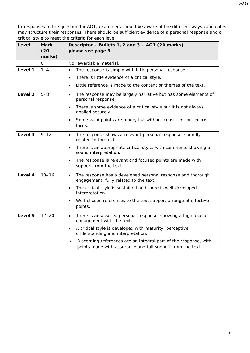| Level   | <b>Mark</b><br>(20) | Descriptor - Bullets 1, 2 and 3 - AO1 (20 marks)<br>please see page 3                                                          |
|---------|---------------------|--------------------------------------------------------------------------------------------------------------------------------|
|         | marks)<br>$\Omega$  |                                                                                                                                |
|         |                     | No rewardable material.                                                                                                        |
| Level 1 | $1 - 4$             | The response is simple with little personal response.<br>$\bullet$                                                             |
|         |                     | There is little evidence of a critical style.<br>$\bullet$                                                                     |
|         |                     | Little reference is made to the content or themes of the text.<br>$\bullet$                                                    |
| Level 2 | $5 - 8$             | The response may be largely narrative but has some elements of<br>$\bullet$<br>personal response.                              |
|         |                     | There is some evidence of a critical style but it is not always<br>$\bullet$<br>applied securely.                              |
|         |                     | Some valid points are made, but without consistent or secure<br>focus.                                                         |
| Level 3 | $9 - 12$            | The response shows a relevant personal response, soundly<br>$\bullet$<br>related to the text.                                  |
|         |                     | There is an appropriate critical style, with comments showing a<br>sound interpretation.                                       |
|         |                     | The response is relevant and focused points are made with<br>$\bullet$<br>support from the text.                               |
| Level 4 | $13 - 16$           | The response has a developed personal response and thorough<br>$\bullet$<br>engagement, fully related to the text.             |
|         |                     | The critical style is sustained and there is well-developed<br>$\bullet$<br>interpretation.                                    |
|         |                     | Well-chosen references to the text support a range of effective<br>points.                                                     |
| Level 5 | $17 - 20$           | There is an assured personal response, showing a high level of<br>$\bullet$<br>engagement with the text.                       |
|         |                     | A critical style is developed with maturity, perceptive<br>$\bullet$<br>understanding and interpretation.                      |
|         |                     | Discerning references are an integral part of the response, with<br>points made with assurance and full support from the text. |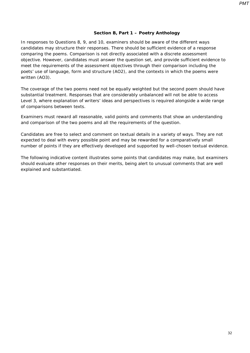#### **Section B, Part 1 – Poetry Anthology**

In responses to Questions 8, 9, and 10, examiners should be aware of the different ways candidates may structure their responses. There should be sufficient evidence of a response comparing the poems. Comparison is not directly associated with a discrete assessment objective. However, candidates must answer the question set, and provide sufficient evidence to meet the requirements of the assessment objectives through their comparison including the poets' use of language, form and structure (AO2), and the contexts in which the poems were written (AO3).

The coverage of the two poems need not be equally weighted but the second poem should have substantial treatment. Responses that are considerably unbalanced will not be able to access Level 3, where explanation of writers' ideas and perspectives is required alongside a wide range of comparisons between texts.

Examiners must reward all reasonable, valid points and comments that show an understanding and comparison of the two poems and all the requirements of the question.

Candidates are free to select and comment on textual details in a variety of ways. They are not expected to deal with every possible point and may be rewarded for a comparatively small number of points if they are effectively developed and supported by well-chosen textual evidence.

The following indicative content illustrates some points that candidates may make, but examiners should evaluate other responses on their merits, being alert to unusual comments that are well explained and substantiated.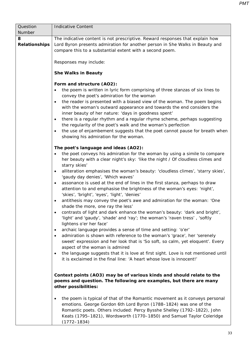| Question<br>Number        | <b>Indicative Content</b>                                                                                                                                                                                                                                                                                                                                                                                                                                                                                                                                                                                                                                                                                                                                                                                                                                                                                                                                                                                                                                                                                                                                                                                                                                                                                                                                                                   |
|---------------------------|---------------------------------------------------------------------------------------------------------------------------------------------------------------------------------------------------------------------------------------------------------------------------------------------------------------------------------------------------------------------------------------------------------------------------------------------------------------------------------------------------------------------------------------------------------------------------------------------------------------------------------------------------------------------------------------------------------------------------------------------------------------------------------------------------------------------------------------------------------------------------------------------------------------------------------------------------------------------------------------------------------------------------------------------------------------------------------------------------------------------------------------------------------------------------------------------------------------------------------------------------------------------------------------------------------------------------------------------------------------------------------------------|
| 8<br><b>Relationships</b> | The indicative content is not prescriptive. Reward responses that explain how<br>Lord Byron presents admiration for another person in She Walks in Beauty and<br>compare this to a substantial extent with a second poem.<br>Responses may include:<br><b>She Walks in Beauty</b>                                                                                                                                                                                                                                                                                                                                                                                                                                                                                                                                                                                                                                                                                                                                                                                                                                                                                                                                                                                                                                                                                                           |
|                           | Form and structure (AO2):<br>the poem is written in lyric form comprising of three stanzas of six lines to<br>convey the poet's admiration for the woman<br>the reader is presented with a biased view of the woman. The poem begins<br>$\bullet$<br>with the woman's outward appearance and towards the end considers the<br>inner beauty of her nature: 'days in goodness spent'<br>there is a regular rhythm and a regular rhyme scheme, perhaps suggesting<br>$\bullet$<br>the regularity of the poet's walk and the woman's perfection<br>the use of enjambement suggests that the poet cannot pause for breath when<br>$\bullet$<br>showing his admiration for the woman.                                                                                                                                                                                                                                                                                                                                                                                                                                                                                                                                                                                                                                                                                                             |
|                           | The poet's language and ideas (AO2):<br>the poet conveys his admiration for the woman by using a simile to compare<br>٠<br>her beauty with a clear night's sky: 'like the night / Of cloudless climes and<br>starry skies'<br>alliteration emphasises the woman's beauty: 'cloudless climes', 'starry skies',<br>$\bullet$<br>'gaudy day denies', 'Which waves'<br>assonance is used at the end of lines in the first stanza, perhaps to draw<br>$\bullet$<br>attention to and emphasise the brightness of the woman's eyes: 'night',<br>'skies', 'bright', 'eyes', 'light', 'denies'<br>antithesis may convey the poet's awe and admiration for the woman: 'One<br>$\bullet$<br>shade the more, one ray the less'<br>contrasts of light and dark enhance the woman's beauty: 'dark and bright',<br>$\bullet$<br>'light' and 'gaudy', 'shade' and 'ray'; the woman's 'raven tress', 'softly<br>lightens o'er her face'<br>archaic language provides a sense of time and setting: 'o'er'<br>$\bullet$<br>admiration is shown with reference to the woman's 'grace', her 'serenely<br>$\bullet$<br>sweet' expression and her look that is 'So soft, so calm, yet eloquent'. Every<br>aspect of the woman is admired<br>the language suggests that it is love at first sight. Love is not mentioned until<br>$\bullet$<br>it is exclaimed in the final line: 'A heart whose love is innocent!' |
|                           | Context points (AO3) may be of various kinds and should relate to the<br>poems and question. The following are examples, but there are many<br>other possibilities:<br>the poem is typical of that of the Romantic movement as it conveys personal<br>$\bullet$<br>emotions. George Gordon 6th Lord Byron (1788-1824) was one of the<br>Romantic poets. Others included: Percy Bysshe Shelley (1792-1822), John<br>Keats (1795-1821), Wordsworth (1770-1850) and Samuel Taylor Coleridge<br>$(1772 - 1834)$                                                                                                                                                                                                                                                                                                                                                                                                                                                                                                                                                                                                                                                                                                                                                                                                                                                                                 |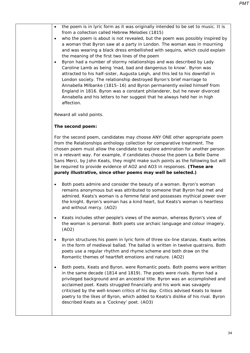| the poem is in lyric form as it was originally intended to be set to music. It is<br>$\bullet$<br>from a collection called Hebrew Melodies (1815)<br>who the poem is about is not revealed, but the poem was possibly inspired by<br>$\bullet$<br>a woman that Byron saw at a party in London. The woman was in mourning<br>and was wearing a black dress embellished with sequins, which could explain<br>the meaning of the first two lines of the poem<br>Byron had a number of stormy relationships and was described by Lady<br>$\bullet$<br>Caroline Lamb as being 'mad, bad and dangerous to know'. Byron was<br>attracted to his half-sister, Augusta Leigh, and this led to his downfall in<br>London society. The relationship destroyed Byron's brief marriage to<br>Annabella Milbanke (1815–16) and Byron permanently exiled himself from<br>England in 1816. Byron was a constant philanderer, but he never divorced<br>Annabella and his letters to her suggest that he always held her in high<br>affection. |
|------------------------------------------------------------------------------------------------------------------------------------------------------------------------------------------------------------------------------------------------------------------------------------------------------------------------------------------------------------------------------------------------------------------------------------------------------------------------------------------------------------------------------------------------------------------------------------------------------------------------------------------------------------------------------------------------------------------------------------------------------------------------------------------------------------------------------------------------------------------------------------------------------------------------------------------------------------------------------------------------------------------------------|
| Reward all valid points.                                                                                                                                                                                                                                                                                                                                                                                                                                                                                                                                                                                                                                                                                                                                                                                                                                                                                                                                                                                                     |
| The second poem:                                                                                                                                                                                                                                                                                                                                                                                                                                                                                                                                                                                                                                                                                                                                                                                                                                                                                                                                                                                                             |
| For the second poem, candidates may choose ANY ONE other appropriate poem<br>from the Relationships anthology collection for comparative treatment. The<br>chosen poem must allow the candidate to explore admiration for another person<br>in a relevant way. For example, if candidates choose the poem La Belle Dame<br>Sans Merci, by John Keats, they might make such points as the following but will<br>be required to provide evidence of AO2 and AO3 in responses. (These are<br>purely illustrative, since other poems may well be selected.)                                                                                                                                                                                                                                                                                                                                                                                                                                                                      |
| Both poets admire and consider the beauty of a woman. Byron's woman<br>$\bullet$<br>remains anonymous but was attributed to someone that Byron had met and<br>admired. Keats's woman is a femme fatal and possesses mythical power over<br>the knight. Byron's woman has a kind heart, but Keats's woman is heartless<br>and without mercy. (AO2)                                                                                                                                                                                                                                                                                                                                                                                                                                                                                                                                                                                                                                                                            |
| Keats includes other people's views of the woman, whereas Byron's view of<br>$\bullet$<br>the woman is personal. Both poets use archaic language and colour imagery.<br>(AO2)                                                                                                                                                                                                                                                                                                                                                                                                                                                                                                                                                                                                                                                                                                                                                                                                                                                |
| Byron structures his poem in lyric form of three six-line stanzas. Keats writes<br>$\bullet$<br>in the form of medieval ballad. The ballad is written in twelve quatrains. Both<br>poets use a regular rhythm and rhyme scheme and both draw on the<br>Romantic themes of heartfelt emotions and nature. (AO2)                                                                                                                                                                                                                                                                                                                                                                                                                                                                                                                                                                                                                                                                                                               |
| Both poets, Keats and Byron, were Romantic poets. Both poems were written<br>$\bullet$<br>in the same decade (1814 and 1819). The poets were rivals. Byron had a<br>privileged background and an ancestral title. Byron was an accomplished and<br>acclaimed poet. Keats struggled financially and his work was savagely<br>criticised by the well-known critics of his day. Critics advised Keats to leave<br>poetry to the likes of Byron, which added to Keats's dislike of his rival. Byron<br>described Keats as a 'Cockney' poet. (AO3)                                                                                                                                                                                                                                                                                                                                                                                                                                                                                |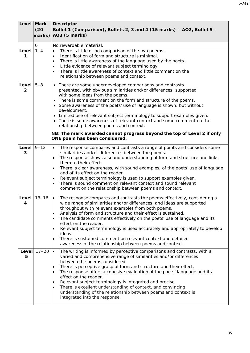|                           | Level Mark<br>(20)<br>marks) | <b>Descriptor</b><br>Bullet 1 (Comparison), Bullets 2, 3 and 4 (15 marks) - AO2, Bullet 5 -<br>AO3 (5 marks)                                                                                                                                                                                                                                                                                                                                                                                                                                                                                                                                                         |
|---------------------------|------------------------------|----------------------------------------------------------------------------------------------------------------------------------------------------------------------------------------------------------------------------------------------------------------------------------------------------------------------------------------------------------------------------------------------------------------------------------------------------------------------------------------------------------------------------------------------------------------------------------------------------------------------------------------------------------------------|
|                           | $\mathsf{O}$                 | No rewardable material.                                                                                                                                                                                                                                                                                                                                                                                                                                                                                                                                                                                                                                              |
| <b>Level</b><br>1         | $1 - 4$                      | There is little or no comparison of the two poems.<br>$\bullet$<br>Identification of form and structure is minimal.<br>$\bullet$<br>There is little awareness of the language used by the poets.<br>$\bullet$<br>Little evidence of relevant subject terminology.<br>$\bullet$<br>There is little awareness of context and little comment on the<br>$\bullet$<br>relationship between poems and context.                                                                                                                                                                                                                                                             |
| Level  <br>$\overline{2}$ | $5 - 8$                      | • There are some underdeveloped comparisons and contrasts<br>presented, with obvious similarities and/or differences, supported<br>with some ideas from the poems.<br>There is some comment on the form and structure of the poems.<br>• Some awareness of the poets' use of language is shown, but without<br>development.<br>• Limited use of relevant subject terminology to support examples given.<br>There is some awareness of relevant context and some comment on the<br>relationship between poems and context.<br>NB: The mark awarded cannot progress beyond the top of Level 2 if only<br>ONE poem has been considered.                                 |
| Level<br>3                | $9 - 12$                     | The response compares and contrasts a range of points and considers some<br>$\bullet$<br>similarities and/or differences between the poems.<br>The response shows a sound understanding of form and structure and links<br>$\bullet$<br>them to their effect.<br>There is clear awareness, with sound examples, of the poets' use of language<br>$\bullet$<br>and of its effect on the reader.<br>Relevant subject terminology is used to support examples given.<br>$\bullet$<br>There is sound comment on relevant context and sound relevant<br>$\bullet$<br>comment on the relationship between poems and context.                                               |
| Level<br>4                | $13 - 16$                    | The response compares and contrasts the poems effectively, considering a<br>$\bullet$<br>wide range of similarities and/or differences, and ideas are supported<br>throughout with relevant examples from both poems.<br>Analysis of form and structure and their effect is sustained.<br>$\bullet$<br>The candidate comments effectively on the poets' use of language and its<br>$\bullet$<br>effect on the reader.<br>Relevant subject terminology is used accurately and appropriately to develop<br>$\bullet$<br>ideas.<br>There is sustained comment on relevant context and detailed<br>$\bullet$<br>awareness of the relationship between poems and context. |
| Level<br>5                | $17 - 20$                    | The writing is informed by perceptive comparisons and contrasts, with a<br>$\bullet$<br>varied and comprehensive range of similarities and/or differences<br>between the poems considered.<br>There is perceptive grasp of form and structure and their effect.<br>٠<br>The response offers a cohesive evaluation of the poets' language and its<br>$\bullet$<br>effect on the reader.<br>Relevant subject terminology is integrated and precise.<br>$\bullet$<br>There is excellent understanding of context, and convincing<br>$\bullet$<br>understanding of the relationship between poems and context is<br>integrated into the response.                        |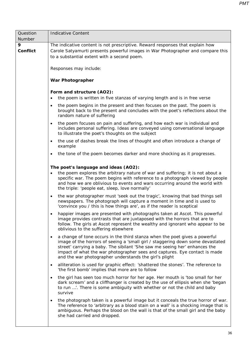| Question             | <b>Indicative Content</b>                                                                                                                                                                                                                                                                                                                                                                       |  |
|----------------------|-------------------------------------------------------------------------------------------------------------------------------------------------------------------------------------------------------------------------------------------------------------------------------------------------------------------------------------------------------------------------------------------------|--|
| Number               |                                                                                                                                                                                                                                                                                                                                                                                                 |  |
| 9<br><b>Conflict</b> | The indicative content is not prescriptive. Reward responses that explain how<br>Carole Satyamurti presents powerful images in War Photographer and compare this<br>to a substantial extent with a second poem.                                                                                                                                                                                 |  |
|                      | Responses may include:                                                                                                                                                                                                                                                                                                                                                                          |  |
|                      | <b>War Photographer</b>                                                                                                                                                                                                                                                                                                                                                                         |  |
|                      | Form and structure (AO2):<br>the poem is written in five stanzas of varying length and is in free verse                                                                                                                                                                                                                                                                                         |  |
|                      | the poem begins in the present and then focuses on the past. The poem is<br>$\bullet$<br>brought back to the present and concludes with the poet's reflections about the<br>random nature of suffering                                                                                                                                                                                          |  |
|                      | the poem focuses on pain and suffering, and how each war is individual and<br>$\bullet$<br>includes personal suffering. Ideas are conveyed using conversational language<br>to illustrate the poet's thoughts on the subject                                                                                                                                                                    |  |
|                      | the use of dashes break the lines of thought and often introduce a change of<br>$\bullet$<br>example                                                                                                                                                                                                                                                                                            |  |
|                      | the tone of the poem becomes darker and more shocking as it progresses.<br>$\bullet$                                                                                                                                                                                                                                                                                                            |  |
|                      | The poet's language and ideas (AO2):                                                                                                                                                                                                                                                                                                                                                            |  |
|                      | the poem explores the arbitrary nature of war and suffering; it is not about a<br>specific war. The poem begins with reference to a photograph viewed by people<br>and how we are oblivious to events and wars occurring around the world with<br>the triple: 'people eat, sleep, love normally'                                                                                                |  |
|                      | the war photographer must 'seek out the tragic', knowing that bad things sell<br>$\bullet$<br>newspapers. The photograph will capture a moment in time and is used to<br>'convince you / this is how things are', as if the reader is sceptical                                                                                                                                                 |  |
|                      | happier images are presented with photographs taken at Ascot. This powerful<br>image provides contrasts that are juxtaposed with the horrors that are to<br>follow. The girls at Ascot represent the wealthy and ignorant who appear to be<br>oblivious to the suffering elsewhere                                                                                                              |  |
|                      | a change of tone occurs in the third stanza when the poet gives a powerful<br>$\bullet$<br>image of the horrors of seeing a 'small girl / staggering down some devastated<br>street' carrying a baby. The sibilant 'She saw me seeing her' enhances the<br>impact of what the war photographer sees and captures. Eye contact is made<br>and the war photographer understands the girl's plight |  |
|                      | alliteration is used for graphic effect: 'shattered the stones'. The reference to<br>$\bullet$<br>'the first bomb' implies that more are to follow                                                                                                                                                                                                                                              |  |
|                      | the girl has seen too much horror for her age. Her mouth is 'too small for her<br>$\bullet$<br>dark scream' and a cliffhanger is created by the use of ellipsis when she 'began<br>to run '. There is some ambiguity with whether or not the child and baby<br>survive                                                                                                                          |  |
|                      | the photograph taken is a powerful image but it conceals the true horror of war.<br>$\bullet$<br>The reference to 'arbitrary as a blood stain on a wall' is a shocking image that is<br>ambiguous. Perhaps the blood on the wall is that of the small girl and the baby<br>she had carried and dropped.                                                                                         |  |
|                      |                                                                                                                                                                                                                                                                                                                                                                                                 |  |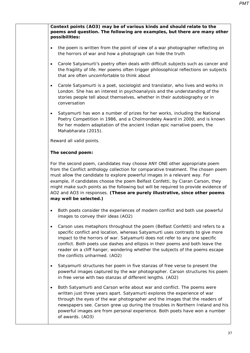| Context points (AO3) may be of various kinds and should relate to the<br>poems and question. The following are examples, but there are many other<br>possibilities:                                                                                                                                                                                                                                                                                                                                                             |
|---------------------------------------------------------------------------------------------------------------------------------------------------------------------------------------------------------------------------------------------------------------------------------------------------------------------------------------------------------------------------------------------------------------------------------------------------------------------------------------------------------------------------------|
| the poem is written from the point of view of a war photographer reflecting on<br>$\bullet$<br>the horrors of war and how a photograph can hide the truth                                                                                                                                                                                                                                                                                                                                                                       |
| Carole Satyamurti's poetry often deals with difficult subjects such as cancer and<br>$\bullet$<br>the fragility of life. Her poems often trigger philosophical reflections on subjects<br>that are often uncomfortable to think about                                                                                                                                                                                                                                                                                           |
| Carole Satyamurti is a poet, sociologist and translator, who lives and works in<br>$\bullet$<br>London. She has an interest in psychoanalysis and the understanding of the<br>stories people tell about themselves, whether in their autobiography or in<br>conversation                                                                                                                                                                                                                                                        |
| Satyamurti has won a number of prizes for her works, including the National<br>$\bullet$<br>Poetry Competition in 1986, and a Cholmondeley Award in 2000, and is known<br>for her modern adaptation of the ancient Indian epic narrative poem, the<br>Mahabharata (2015).                                                                                                                                                                                                                                                       |
| Reward all valid points.                                                                                                                                                                                                                                                                                                                                                                                                                                                                                                        |
| The second poem:                                                                                                                                                                                                                                                                                                                                                                                                                                                                                                                |
| For the second poem, candidates may choose ANY ONE other appropriate poem<br>from the Conflict anthology collection for comparative treatment. The chosen poem<br>must allow the candidate to explore powerful images in a relevant way. For<br>example, if candidates choose the poem Belfast Confetti, by Ciaran Carson, they<br>might make such points as the following but will be required to provide evidence of<br>AO2 and AO3 in responses. (These are purely illustrative, since other poems<br>may well be selected.) |
| Both poets consider the experiences of modern conflict and both use powerful<br>images to convey their ideas (AO2)                                                                                                                                                                                                                                                                                                                                                                                                              |
| Carson uses metaphors throughout the poem (Belfast Confetti) and refers to a<br>$\bullet$<br>specific conflict and location, whereas Satyamurti uses contrasts to give more<br>impact to the horrors of war. Satyamurti does not refer to any one specific<br>conflict. Both poets use dashes and ellipsis in their poems and both leave the<br>reader on a cliff hanger, wondering whether the subjects of the poems escape<br>the conflicts unharmed. (AO2)                                                                   |
| Satyamurti structures her poem in five stanzas of free verse to present the<br>$\bullet$<br>powerful images captured by the war photographer. Carson structures his poem<br>in free verse with two stanzas of different lengths. (AO2)                                                                                                                                                                                                                                                                                          |
| Both Satyamurti and Carson write about war and conflict. The poems were<br>$\bullet$<br>written just three years apart. Satyamurti explores the experience of war<br>through the eyes of the war photographer and the images that the readers of<br>newspapers see. Carson grew up during the troubles in Northern Ireland and his<br>powerful images are from personal experience. Both poets have won a number                                                                                                                |

of awards. (AO3)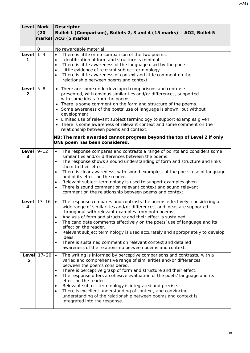|                               | Level Mark<br>(20)<br>marks) | <b>Descriptor</b><br>Bullet 1 (Comparison), Bullets 2, 3 and 4 (15 marks) - AO2, Bullet 5 -<br>AO3 (5 marks)                                                                                                                                                                                                                                                                                                                                                                                                                                                                                                                                                         |
|-------------------------------|------------------------------|----------------------------------------------------------------------------------------------------------------------------------------------------------------------------------------------------------------------------------------------------------------------------------------------------------------------------------------------------------------------------------------------------------------------------------------------------------------------------------------------------------------------------------------------------------------------------------------------------------------------------------------------------------------------|
|                               | 0                            | No rewardable material.                                                                                                                                                                                                                                                                                                                                                                                                                                                                                                                                                                                                                                              |
| Level $1-4$<br>1              |                              | There is little or no comparison of the two poems.<br>$\bullet$<br>Identification of form and structure is minimal.<br>$\bullet$<br>There is little awareness of the language used by the poets.<br>$\bullet$<br>Little evidence of relevant subject terminology.<br>$\bullet$<br>There is little awareness of context and little comment on the<br>$\bullet$<br>relationship between poems and context.                                                                                                                                                                                                                                                             |
| Level $5-8$<br>$\overline{2}$ |                              | • There are some underdeveloped comparisons and contrasts<br>presented, with obvious similarities and/or differences, supported<br>with some ideas from the poems.<br>• There is some comment on the form and structure of the poems.<br>• Some awareness of the poets' use of language is shown, but without<br>development.<br>• Limited use of relevant subject terminology to support examples given.<br>• There is some awareness of relevant context and some comment on the<br>relationship between poems and context.<br>NB: The mark awarded cannot progress beyond the top of Level 2 if only<br>ONE poem has been considered.                             |
| Level $9-12$<br>3             |                              | The response compares and contrasts a range of points and considers some<br>$\bullet$<br>similarities and/or differences between the poems.<br>The response shows a sound understanding of form and structure and links<br>them to their effect.<br>There is clear awareness, with sound examples, of the poets' use of language<br>٠<br>and of its effect on the reader.<br>Relevant subject terminology is used to support examples given.<br>٠<br>There is sound comment on relevant context and sound relevant<br>$\bullet$<br>comment on the relationship between poems and context.                                                                            |
| Level<br>4                    | $13 - 16$                    | The response compares and contrasts the poems effectively, considering a<br>$\bullet$<br>wide range of similarities and/or differences, and ideas are supported<br>throughout with relevant examples from both poems.<br>Analysis of form and structure and their effect is sustained.<br>$\bullet$<br>The candidate comments effectively on the poets' use of language and its<br>$\bullet$<br>effect on the reader.<br>Relevant subject terminology is used accurately and appropriately to develop<br>$\bullet$<br>ideas.<br>There is sustained comment on relevant context and detailed<br>$\bullet$<br>awareness of the relationship between poems and context. |
| Level<br>5                    | $17 - 20$                    | The writing is informed by perceptive comparisons and contrasts, with a<br>$\bullet$<br>varied and comprehensive range of similarities and/or differences<br>between the poems considered.<br>There is perceptive grasp of form and structure and their effect.<br>$\bullet$<br>The response offers a cohesive evaluation of the poets' language and its<br>$\bullet$<br>effect on the reader.<br>Relevant subject terminology is integrated and precise.<br>$\bullet$<br>There is excellent understanding of context, and convincing<br>$\bullet$<br>understanding of the relationship between poems and context is<br>integrated into the response.                |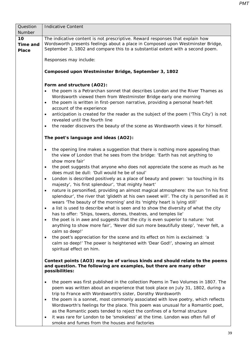| Question<br>Number | <b>Indicative Content</b>                                                                                                                                                                                                                                                                                                                                                                                                                                                                                                                                                                                                                                                                                                                                                                                                                                                                                                                                                                                                                                                                                                                                                                                                                                                                                                                                   |  |
|--------------------|-------------------------------------------------------------------------------------------------------------------------------------------------------------------------------------------------------------------------------------------------------------------------------------------------------------------------------------------------------------------------------------------------------------------------------------------------------------------------------------------------------------------------------------------------------------------------------------------------------------------------------------------------------------------------------------------------------------------------------------------------------------------------------------------------------------------------------------------------------------------------------------------------------------------------------------------------------------------------------------------------------------------------------------------------------------------------------------------------------------------------------------------------------------------------------------------------------------------------------------------------------------------------------------------------------------------------------------------------------------|--|
| 10<br>Time and     | The indicative content is not prescriptive. Reward responses that explain how<br>Wordsworth presents feelings about a place in Composed upon Westminster Bridge,                                                                                                                                                                                                                                                                                                                                                                                                                                                                                                                                                                                                                                                                                                                                                                                                                                                                                                                                                                                                                                                                                                                                                                                            |  |
| <b>Place</b>       | September 3, 1802 and compare this to a substantial extent with a second poem.                                                                                                                                                                                                                                                                                                                                                                                                                                                                                                                                                                                                                                                                                                                                                                                                                                                                                                                                                                                                                                                                                                                                                                                                                                                                              |  |
|                    | Responses may include:                                                                                                                                                                                                                                                                                                                                                                                                                                                                                                                                                                                                                                                                                                                                                                                                                                                                                                                                                                                                                                                                                                                                                                                                                                                                                                                                      |  |
|                    | Composed upon Westminster Bridge, September 3, 1802                                                                                                                                                                                                                                                                                                                                                                                                                                                                                                                                                                                                                                                                                                                                                                                                                                                                                                                                                                                                                                                                                                                                                                                                                                                                                                         |  |
|                    | Form and structure (AO2):<br>the poem is a Petrarchan sonnet that describes London and the River Thames as<br>$\bullet$<br>Wordsworth viewed them from Westminster Bridge early one morning<br>the poem is written in first-person narrative, providing a personal heart-felt<br>$\bullet$<br>account of the experience<br>anticipation is created for the reader as the subject of the poem ('This City') is not<br>$\bullet$<br>revealed until the fourth line<br>the reader discovers the beauty of the scene as Wordsworth views it for himself.<br>$\bullet$                                                                                                                                                                                                                                                                                                                                                                                                                                                                                                                                                                                                                                                                                                                                                                                           |  |
|                    | The poet's language and ideas (AO2):                                                                                                                                                                                                                                                                                                                                                                                                                                                                                                                                                                                                                                                                                                                                                                                                                                                                                                                                                                                                                                                                                                                                                                                                                                                                                                                        |  |
|                    | the opening line makes a suggestion that there is nothing more appealing than<br>$\bullet$<br>the view of London that he sees from the bridge: 'Earth has not anything to<br>show more fair'<br>the poet suggests that anyone who does not appreciate the scene as much as he<br>$\bullet$<br>does must be dull: 'Dull would he be of soul'<br>London is described positively as a place of beauty and power: 'so touching in its<br>$\bullet$<br>majesty', 'his first splendour', 'that mighty heart'<br>nature is personified, providing an almost magical atmosphere: the sun 'In his first<br>$\bullet$<br>splendour', the river that 'glideth at his own sweet will'. The city is personified as it<br>wears 'The beauty of the morning' and its 'mighty heart is lying still'<br>a list is used to describe what is seen and to show the diversity of what the city<br>has to offer: 'Ships, towers, domes, theatres, and temples lie'<br>the poet is in awe and suggests that the city is even superior to nature: 'not<br>$\bullet$<br>anything to show more fair', 'Never did sun more beautifully steep', 'never felt, a<br>calm so deep!'<br>the poet's appreciation for the scene and its effect on him is exclaimed: 'a<br>$\bullet$<br>calm so deep!' The power is heightened with 'Dear God!', showing an almost<br>spiritual effect on him. |  |
|                    | Context points (AO3) may be of various kinds and should relate to the poems<br>and question. The following are examples, but there are many other<br>possibilities:                                                                                                                                                                                                                                                                                                                                                                                                                                                                                                                                                                                                                                                                                                                                                                                                                                                                                                                                                                                                                                                                                                                                                                                         |  |
|                    | the poem was first published in the collection Poems in Two Volumes in 1807. The<br>$\bullet$<br>poem was written about an experience that took place on July 31, 1802, during a<br>trip to France with Wordsworth's sister, Dorothy Wordsworth<br>the poem is a sonnet, most commonly associated with love poetry, which reflects<br>$\bullet$<br>Wordsworth's feelings for the place. This poem was unusual for a Romantic poet,<br>as the Romantic poets tended to reject the confines of a formal structure<br>it was rare for London to be 'smokeless' at the time. London was often full of<br>$\bullet$<br>smoke and fumes from the houses and factories                                                                                                                                                                                                                                                                                                                                                                                                                                                                                                                                                                                                                                                                                             |  |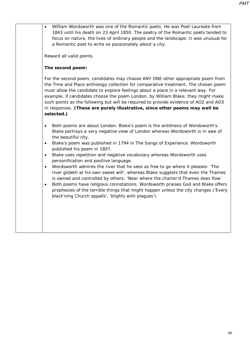• William Wordsworth was one of the Romantic poets. He was Poet Laureate from 1843 until his death on 23 April 1850. The poetry of the Romantic poets tended to focus on nature, the lives of ordinary people and the landscape. It was unusual for a Romantic poet to write so passionately about a city.

Reward all valid points.

#### **The second poem:**

For the second poem, candidates may choose ANY ONE other appropriate poem from the Time and Place anthology collection for comparative treatment. The chosen poem must allow the candidate to explore feelings about a place in a relevant way. For example, if candidates choose the poem *London*, by William Blake, they might make such points as the following but will be required to provide evidence of AO2 and AO3 in responses. **(These are purely illustrative, since other poems may well be selected.)**

- Both poems are about London. Blake's poem is the antithesis of Wordsworth's. Blake portrays a very negative view of London whereas Wordsworth is in awe of the beautiful city.
- Blake's poem was published in 1794 in *The Songs of Experience*. Wordsworth published his poem in 1807.
- Blake uses repetition and negative vocabulary whereas Wordsworth uses personification and positive language.
- Wordsworth admires the river that he sees as free to go where it pleases: 'The river glideth at his own sweet will', whereas Blake suggests that even the Thames is owned and controlled by others: 'Near where the charter'd Thames does flow'.
- Both poems have religious connotations. Wordsworth praises God and Blake offers prophesies of the terrible things that might happen unless the city changes ('Every black'ning Church appalls', 'blights with plagues').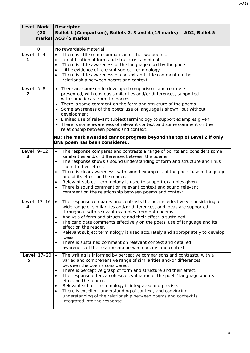|                         | Level Mark<br>(20)<br>marks) | <b>Descriptor</b><br>Bullet 1 (Comparison), Bullets 2, 3 and 4 (15 marks) - AO2, Bullet 5 -<br>AO3 (5 marks)                                                                                                                                                                                                                                                                                                                                                                                                                                                                                                                                                         |
|-------------------------|------------------------------|----------------------------------------------------------------------------------------------------------------------------------------------------------------------------------------------------------------------------------------------------------------------------------------------------------------------------------------------------------------------------------------------------------------------------------------------------------------------------------------------------------------------------------------------------------------------------------------------------------------------------------------------------------------------|
|                         | 0                            | No rewardable material.                                                                                                                                                                                                                                                                                                                                                                                                                                                                                                                                                                                                                                              |
| Level $1-4$<br>1        |                              | There is little or no comparison of the two poems.<br>$\bullet$<br>Identification of form and structure is minimal.<br>$\bullet$<br>There is little awareness of the language used by the poets.<br>$\bullet$<br>Little evidence of relevant subject terminology.<br>$\bullet$<br>There is little awareness of context and little comment on the<br>$\bullet$<br>relationship between poems and context.                                                                                                                                                                                                                                                             |
| Level<br>$\overline{2}$ | $5 - 8$                      | • There are some underdeveloped comparisons and contrasts<br>presented, with obvious similarities and/or differences, supported<br>with some ideas from the poems.<br>• There is some comment on the form and structure of the poems.<br>• Some awareness of the poets' use of language is shown, but without<br>development.<br>• Limited use of relevant subject terminology to support examples given.<br>• There is some awareness of relevant context and some comment on the<br>relationship between poems and context.<br>NB: The mark awarded cannot progress beyond the top of Level 2 if only<br>ONE poem has been considered.                             |
| Level $9-12$<br>3       |                              | The response compares and contrasts a range of points and considers some<br>$\bullet$<br>similarities and/or differences between the poems.<br>The response shows a sound understanding of form and structure and links<br>$\bullet$<br>them to their effect.<br>There is clear awareness, with sound examples, of the poets' use of language<br>٠<br>and of its effect on the reader.<br>Relevant subject terminology is used to support examples given.<br>$\bullet$<br>There is sound comment on relevant context and sound relevant<br>$\bullet$<br>comment on the relationship between poems and context.                                                       |
| 4                       | Level $13-16$                | The response compares and contrasts the poems effectively, considering a<br>$\bullet$<br>wide range of similarities and/or differences, and ideas are supported<br>throughout with relevant examples from both poems.<br>Analysis of form and structure and their effect is sustained.<br>$\bullet$<br>The candidate comments effectively on the poets' use of language and its<br>$\bullet$<br>effect on the reader.<br>Relevant subject terminology is used accurately and appropriately to develop<br>$\bullet$<br>ideas.<br>There is sustained comment on relevant context and detailed<br>$\bullet$<br>awareness of the relationship between poems and context. |
| Level<br>5              | $17 - 20$                    | The writing is informed by perceptive comparisons and contrasts, with a<br>$\bullet$<br>varied and comprehensive range of similarities and/or differences<br>between the poems considered.<br>There is perceptive grasp of form and structure and their effect.<br>$\bullet$<br>The response offers a cohesive evaluation of the poets' language and its<br>$\bullet$<br>effect on the reader.<br>Relevant subject terminology is integrated and precise.<br>$\bullet$<br>There is excellent understanding of context, and convincing<br>$\bullet$<br>understanding of the relationship between poems and context is<br>integrated into the response.                |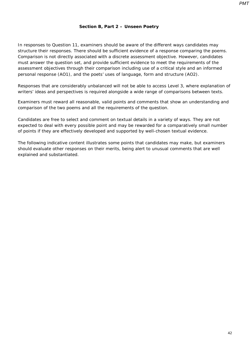#### **Section B, Part 2 – Unseen Poetry**

In responses to Question 11, examiners should be aware of the different ways candidates may structure their responses. There should be sufficient evidence of a response comparing the poems. Comparison is not directly associated with a discrete assessment objective. However, candidates must answer the question set, and provide sufficient evidence to meet the requirements of the assessment objectives through their comparison including use of a critical style and an informed personal response (AO1), and the poets' uses of language, form and structure (AO2).

Responses that are considerably unbalanced will not be able to access Level 3, where explanation of writers' ideas and perspectives is required alongside a wide range of comparisons between texts.

Examiners must reward all reasonable, valid points and comments that show an understanding and comparison of the two poems and all the requirements of the question.

Candidates are free to select and comment on textual details in a variety of ways. They are not expected to deal with every possible point and may be rewarded for a comparatively small number of points if they are effectively developed and supported by well-chosen textual evidence.

The following indicative content illustrates some points that candidates may make, but examiners should evaluate other responses on their merits, being alert to unusual comments that are well explained and substantiated.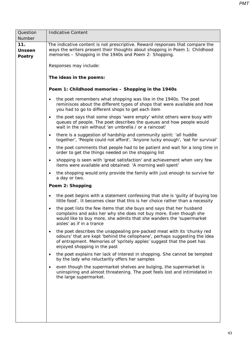| Question                              | <b>Indicative Content</b>                                                                                                                                                                                                                                                    |  |  |
|---------------------------------------|------------------------------------------------------------------------------------------------------------------------------------------------------------------------------------------------------------------------------------------------------------------------------|--|--|
| Number                                |                                                                                                                                                                                                                                                                              |  |  |
| 11.<br><b>Unseen</b><br><b>Poetry</b> | The indicative content is not prescriptive. Reward responses that compare the<br>ways the writers present their thoughts about shopping in Poem 1: Childhood<br>memories - Shopping in the 1940s and Poem 2: Shopping.                                                       |  |  |
|                                       | Responses may include:                                                                                                                                                                                                                                                       |  |  |
|                                       | The ideas in the poems:                                                                                                                                                                                                                                                      |  |  |
|                                       | Poem 1: Childhood memories - Shopping in the 1940s                                                                                                                                                                                                                           |  |  |
|                                       | the poet remembers what shopping was like in the 1940s. The poet<br>$\bullet$<br>reminisces about the different types of shops that were available and how<br>you had to go to different shops to get each item                                                              |  |  |
|                                       | the poet says that some shops 'were empty' whilst others were busy with<br>$\bullet$<br>queues of people. The poet describes the queues and how people would<br>wait in the rain without 'an umbrella / or a raincoat'                                                       |  |  |
|                                       | there is a suggestion of hardship and community spirit: 'all huddle<br>$\bullet$<br>together', 'People could not afford', 'Anyone lucky enough', 'eat for survival'                                                                                                          |  |  |
|                                       | the poet comments that people had to be patient and wait for a long time in<br>$\bullet$<br>order to get the things needed on the shopping list                                                                                                                              |  |  |
|                                       | shopping is seen with 'great satisfaction' and achievement when very few<br>$\bullet$<br>items were available and obtained: 'A morning well spent'                                                                                                                           |  |  |
|                                       | the shopping would only provide the family with just enough to survive for<br>$\bullet$<br>a day or two.                                                                                                                                                                     |  |  |
|                                       | Poem 2: Shopping                                                                                                                                                                                                                                                             |  |  |
|                                       | the poet begins with a statement confessing that she is 'guilty of buying too<br>$\bullet$<br>little food'. It becomes clear that this is her choice rather than a necessity                                                                                                 |  |  |
|                                       | the poet lists the few items that she buys and says that her husband<br>$\bullet$<br>complains and asks her why she does not buy more. Even though she<br>would like to buy more, she admits that she wanders the 'supermarket<br>aisles' as if in a trance                  |  |  |
|                                       | the poet describes the unappealing pre-packed meat with its 'chunky red<br>$\bullet$<br>odours' that are kept 'behind the cellophane', perhaps suggesting the idea<br>of entrapment. Memories of 'spritely apples' suggest that the poet has<br>enjoyed shopping in the past |  |  |
|                                       | the poet explains her lack of interest in shopping. She cannot be tempted<br>$\bullet$<br>by the lady who reluctantly offers her samples                                                                                                                                     |  |  |
|                                       | even though the supermarket shelves are bulging, the supermarket is<br>$\bullet$<br>uninspiring and almost threatening. The poet feels lost and intimidated in<br>the large supermarket.                                                                                     |  |  |
|                                       |                                                                                                                                                                                                                                                                              |  |  |
|                                       |                                                                                                                                                                                                                                                                              |  |  |
|                                       |                                                                                                                                                                                                                                                                              |  |  |
|                                       |                                                                                                                                                                                                                                                                              |  |  |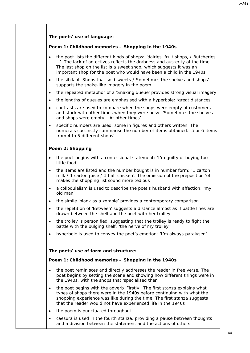## **The poets' use of language:**

#### **Poem 1:** *Childhood memories – Shopping in the 1940s*

- the poet lists the different kinds of shops: 'dairies, fruit shops, / Butcheries …'. The lack of adjectives reflects the drabness and austerity of the time. The last shop on the list is a sweet shop, which suggests it was an important shop for the poet who would have been a child in the 1940s
- the sibilant 'Shops that sold sweets / Sometimes the shelves and shops' supports the snake-like imagery in the poem
- the repeated metaphor of a 'Snaking queue' provides strong visual imagery
- the lengths of queues are emphasised with a hyperbole: 'great distances'
- contrasts are used to compare when the shops were empty of customers and stock with other times when they were busy: 'Sometimes the shelves and shops were empty', 'At other times'
- specific numbers are used, some in figures and others written. The numerals succinctly summarise the number of items obtained: '5 or 6 items from 4 to 5 different shops'.

## **Poem 2:** *Shopping*

- the poet begins with a confessional statement: 'I'm guilty of buying too little food'
- the items are listed and the number bought is in number form: '1 carton milk / 1 carton juice / 1 half chicken'. The omission of the preposition 'of' makes the shopping list sound more tedious
- a colloquialism is used to describe the poet's husband with affection: 'my old man'
- the simile 'blank as a zombie' provides a contemporary comparison
- the repetition of 'Between' suggests a distance almost as if battle lines are drawn between the shelf and the poet with her trolley
- the trolley is personified, suggesting that the trolley is ready to fight the battle with the bulging shelf: 'the nerve of my trolley'
- hyperbole is used to convey the poet's emotion: 'I'm always paralysed'.

## **The poets' use of form and structure:**

#### **Poem 1:** *Childhood memories – Shopping in the 1940s*

- the poet reminisces and directly addresses the reader in free verse. The poet begins by setting the scene and showing how different things were in the 1940s, with the shops that 'specialised then'
- the poet begins with the adverb 'Firstly'. The first stanza explains what types of shops there were in the 1940s before continuing with what the shopping experience was like during the time. The first stanza suggests that the reader would not have experienced life in the 1940s
- the poem is punctuated throughout
- caesura is used in the fourth stanza, providing a pause between thoughts and a division between the statement and the actions of others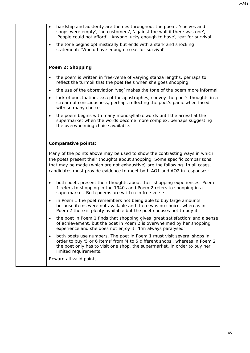| $\bullet$ | hardship and austerity are themes throughout the poem: 'shelves and<br>shops were empty', 'no customers', 'against the wall if there was one',<br>'People could not afford', 'Anyone lucky enough to have', 'eat for survival'.                                                                                     |
|-----------|---------------------------------------------------------------------------------------------------------------------------------------------------------------------------------------------------------------------------------------------------------------------------------------------------------------------|
| $\bullet$ | the tone begins optimistically but ends with a stark and shocking<br>statement: 'Would have enough to eat for survival'.                                                                                                                                                                                            |
|           |                                                                                                                                                                                                                                                                                                                     |
|           | Poem 2: Shopping                                                                                                                                                                                                                                                                                                    |
| $\bullet$ | the poem is written in free-verse of varying stanza lengths, perhaps to<br>reflect the turmoil that the poet feels when she goes shopping                                                                                                                                                                           |
| $\bullet$ | the use of the abbreviation 'veg' makes the tone of the poem more informal                                                                                                                                                                                                                                          |
| $\bullet$ | lack of punctuation, except for apostrophes, convey the poet's thoughts in a<br>stream of consciousness, perhaps reflecting the poet's panic when faced<br>with so many choices                                                                                                                                     |
|           | the poem begins with many monosyllabic words until the arrival at the<br>supermarket when the words become more complex, perhaps suggesting<br>the overwhelming choice available.                                                                                                                                   |
|           | <b>Comparative points:</b>                                                                                                                                                                                                                                                                                          |
|           | Many of the points above may be used to show the contrasting ways in which<br>the poets present their thoughts about shopping. Some specific comparisons<br>that may be made (which are not exhaustive) are the following. In all cases,<br>candidates must provide evidence to meet both AO1 and AO2 in responses: |
| $\bullet$ | both poets present their thoughts about their shopping experiences. Poem<br>1 refers to shopping in the 1940s and Poem 2 refers to shopping in a<br>supermarket. Both poems are written in free verse                                                                                                               |
| ٠         | in Poem 1 the poet remembers not being able to buy large amounts<br>because items were not available and there was no choice, whereas in<br>Poem 2 there is plenty available but the poet chooses not to buy it                                                                                                     |
|           | the poet in Poem 1 finds that shopping gives 'great satisfaction' and a sense<br>of achievement, but the poet in Poem 2 is overwhelmed by her shopping<br>experience and she does not enjoy it: 'I'm always paralysed'                                                                                              |
|           | both poets use numbers. The poet in Poem 1 must visit several shops in<br>order to buy '5 or 6 items' from '4 to 5 different shops', whereas in Poem 2<br>the poet only has to visit one shop, the supermarket, in order to buy her<br>limited requirements.                                                        |
|           | Reward all valid points.                                                                                                                                                                                                                                                                                            |
|           |                                                                                                                                                                                                                                                                                                                     |